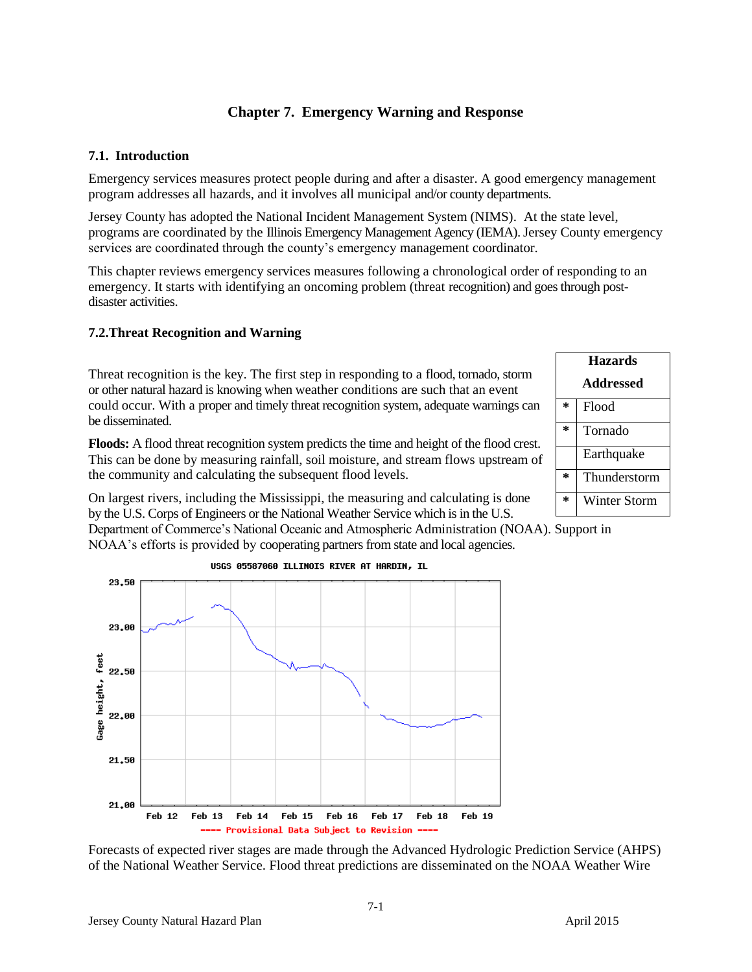# **Chapter 7. Emergency Warning and Response**

# **7.1. Introduction**

Emergency services measures protect people during and after a disaster. A good emergency management program addresses all hazards, and it involves all municipal and/or county departments.

Jersey County has adopted the National Incident Management System (NIMS). At the state level, programs are coordinated by the Illinois Emergency Management Agency (IEMA). Jersey County emergency services are coordinated through the county's emergency management coordinator.

This chapter reviews emergency services measures following a chronological order of responding to an emergency. It starts with identifying an oncoming problem (threat recognition) and goes through postdisaster activities.

# **7.2.Threat Recognition and Warning**

Threat recognition is the key. The first step in responding to a flood, tornado, storm or other natural hazard is knowing when weather conditions are such that an event could occur. With a proper and timely threat recognition system, adequate warnings can be disseminated.

**Floods:** A flood threat recognition system predicts the time and height of the flood crest. This can be done by measuring rainfall, soil moisture, and stream flows upstream of the community and calculating the subsequent flood levels.

On largest rivers, including the Mississippi, the measuring and calculating is done by the U.S. Corps of Engineers or the National Weather Service which is in the U.S.

Department of Commerce's National Oceanic and Atmospheric Administration (NOAA). Support in NOAA's efforts is provided by cooperating partners from state and local agencies.



Forecasts of expected river stages are made through the Advanced Hydrologic Prediction Service (AHPS) of the National Weather Service. Flood threat predictions are disseminated on the NOAA Weather Wire

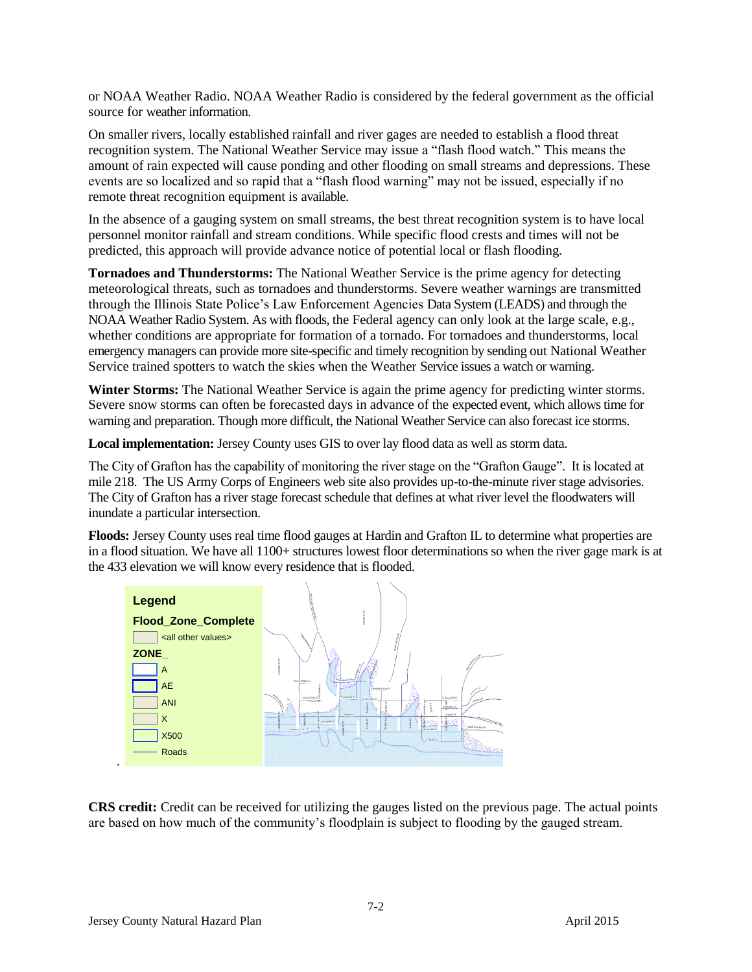or NOAA Weather Radio. NOAA Weather Radio is considered by the federal government as the official source for weather information.

On smaller rivers, locally established rainfall and river gages are needed to establish a flood threat recognition system. The National Weather Service may issue a "flash flood watch." This means the amount of rain expected will cause ponding and other flooding on small streams and depressions. These events are so localized and so rapid that a "flash flood warning" may not be issued, especially if no remote threat recognition equipment is available.

In the absence of a gauging system on small streams, the best threat recognition system is to have local personnel monitor rainfall and stream conditions. While specific flood crests and times will not be predicted, this approach will provide advance notice of potential local or flash flooding.

**Tornadoes and Thunderstorms:** The National Weather Service is the prime agency for detecting meteorological threats, such as tornadoes and thunderstorms. Severe weather warnings are transmitted through the Illinois State Police's Law Enforcement Agencies Data System (LEADS) and through the NOAA Weather Radio System. As with floods, the Federal agency can only look at the large scale, e.g., whether conditions are appropriate for formation of a tornado. For tornadoes and thunderstorms, local emergency managers can provide more site-specific and timely recognition by sending out National Weather Service trained spotters to watch the skies when the Weather Service issues a watch or warning.

**Winter Storms:** The National Weather Service is again the prime agency for predicting winter storms. Severe snow storms can often be forecasted days in advance of the expected event, which allows time for warning and preparation. Though more difficult, the National Weather Service can also forecast ice storms.

**Local implementation:** Jersey County uses GIS to over lay flood data as well as storm data.

The City of Grafton has the capability of monitoring the river stage on the "Grafton Gauge". It is located at mile 218. The US Army Corps of Engineers web site also provides up-to-the-minute river stage advisories. The City of Grafton has a river stage forecast schedule that defines at what river level the floodwaters will inundate a particular intersection.

**Floods:** Jersey County uses real time flood gauges at Hardin and Grafton IL to determine what properties are in a flood situation. We have all 1100+ structures lowest floor determinations so when the river gage mark is at the 433 elevation we will know every residence that is flooded.



**CRS credit:** Credit can be received for utilizing the gauges listed on the previous page. The actual points are based on how much of the community's floodplain is subject to flooding by the gauged stream.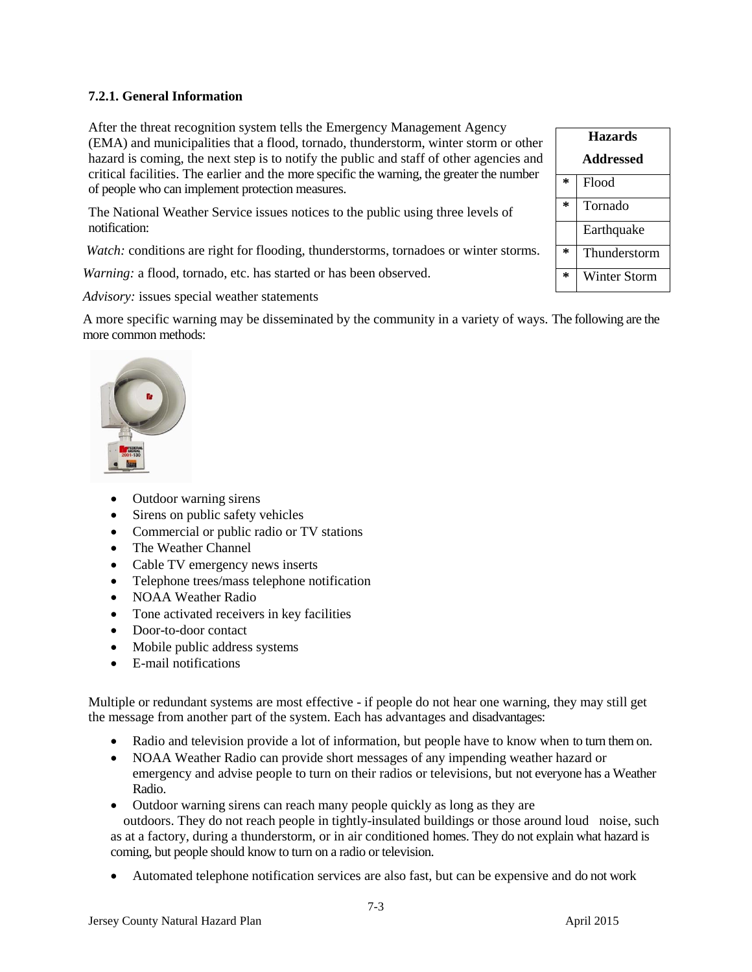# **7.2.1. General Information**

After the threat recognition system tells the Emergency Management Agency (EMA) and municipalities that a flood, tornado, thunderstorm, winter storm or other hazard is coming, the next step is to notify the public and staff of other agencies and critical facilities. The earlier and the more specific the warning, the greater the number of people who can implement protection measures.

The National Weather Service issues notices to the public using three levels of notification:

*Watch:* conditions are right for flooding, thunderstorms, tornadoes or winter storms.

*Warning:* a flood, tornado, etc. has started or has been observed.

*Advisory:* issues special weather statements

A more specific warning may be disseminated by the community in a variety of ways. The following are the more common methods:



- Outdoor warning sirens
- Sirens on public safety vehicles
- Commercial or public radio or TV stations
- The Weather Channel
- Cable TV emergency news inserts
- Telephone trees/mass telephone notification
- NOAA Weather Radio
- Tone activated receivers in key facilities
- Door-to-door contact
- Mobile public address systems
- E-mail notifications

Multiple or redundant systems are most effective - if people do not hear one warning, they may still get the message from another part of the system. Each has advantages and disadvantages:

- Radio and television provide a lot of information, but people have to know when to turn them on.
- NOAA Weather Radio can provide short messages of any impending weather hazard or emergency and advise people to turn on their radios or televisions, but not everyone has a Weather Radio.
- Outdoor warning sirens can reach many people quickly as long as they are

outdoors. They do not reach people in tightly-insulated buildings or those around loud noise, such as at a factory, during a thunderstorm, or in air conditioned homes. They do not explain what hazard is coming, but people should know to turn on a radio or television.

Automated telephone notification services are also fast, but can be expensive and do not work

| <b>Hazards</b>   |              |  |  |  |
|------------------|--------------|--|--|--|
| <b>Addressed</b> |              |  |  |  |
| *                | Flood        |  |  |  |
| ÷                | Tornado      |  |  |  |
|                  | Earthquake   |  |  |  |
| ÷                | Thunderstorm |  |  |  |
| ÷,               | Winter Storm |  |  |  |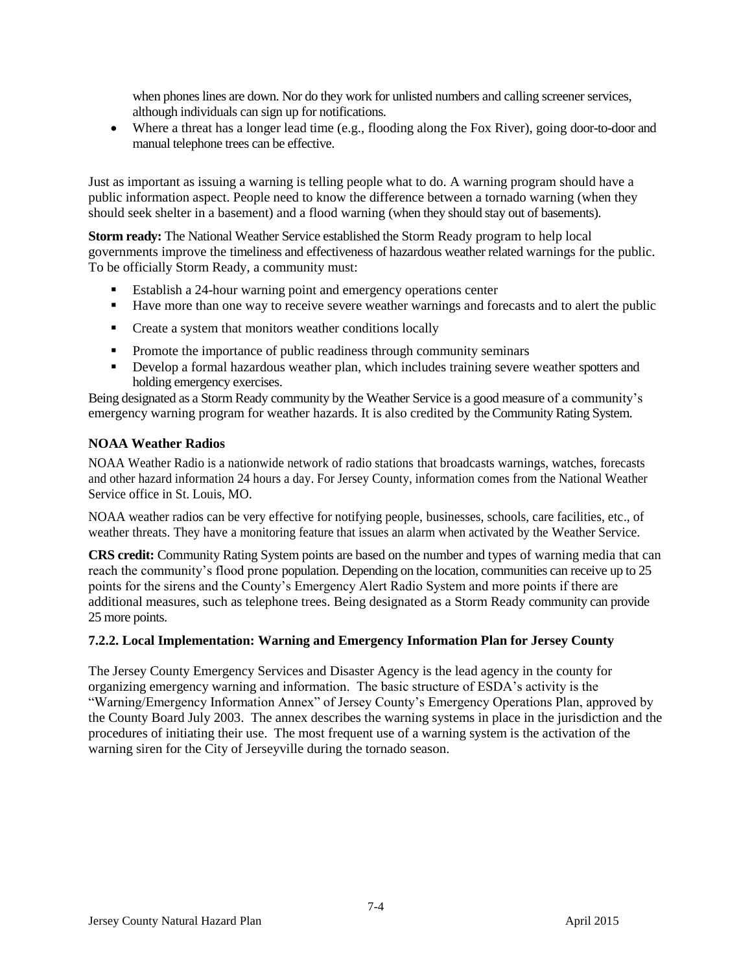when phones lines are down. Nor do they work for unlisted numbers and calling screener services, although individuals can sign up for notifications.

 Where a threat has a longer lead time (e.g., flooding along the Fox River), going door-to-door and manual telephone trees can be effective.

Just as important as issuing a warning is telling people what to do. A warning program should have a public information aspect. People need to know the difference between a tornado warning (when they should seek shelter in a basement) and a flood warning (when they should stay out of basements).

**Storm ready:** The National Weather Service established the Storm Ready program to help local governments improve the timeliness and effectiveness of hazardous weather related warnings for the public. To be officially Storm Ready, a community must:

- Establish a 24-hour warning point and emergency operations center
- Have more than one way to receive severe weather warnings and forecasts and to alert the public
- Create a system that monitors weather conditions locally
- Promote the importance of public readiness through community seminars
- Develop a formal hazardous weather plan, which includes training severe weather spotters and holding emergency exercises.

Being designated as a Storm Ready community by the Weather Service is a good measure of a community's emergency warning program for weather hazards. It is also credited by the Community Rating System.

### **NOAA Weather Radios**

NOAA Weather Radio is a nationwide network of radio stations that broadcasts warnings, watches, forecasts and other hazard information 24 hours a day. For Jersey County, information comes from the National Weather Service office in St. Louis, MO.

NOAA weather radios can be very effective for notifying people, businesses, schools, care facilities, etc., of weather threats. They have a monitoring feature that issues an alarm when activated by the Weather Service.

**CRS credit:** Community Rating System points are based on the number and types of warning media that can reach the community's flood prone population. Depending on the location, communities can receive up to 25 points for the sirens and the County's Emergency Alert Radio System and more points if there are additional measures, such as telephone trees. Being designated as a Storm Ready community can provide 25 more points.

### **7.2.2. Local Implementation: Warning and Emergency Information Plan for Jersey County**

The Jersey County Emergency Services and Disaster Agency is the lead agency in the county for organizing emergency warning and information. The basic structure of ESDA's activity is the "Warning/Emergency Information Annex" of Jersey County's Emergency Operations Plan, approved by the County Board July 2003. The annex describes the warning systems in place in the jurisdiction and the procedures of initiating their use. The most frequent use of a warning system is the activation of the warning siren for the City of Jerseyville during the tornado season.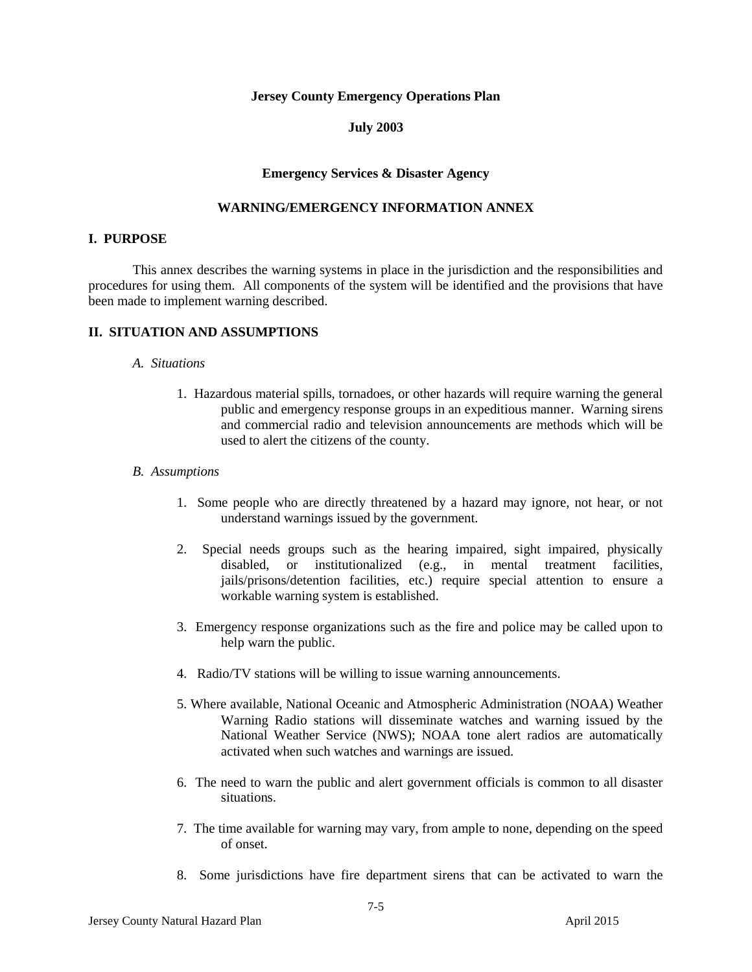#### **Jersey County Emergency Operations Plan**

#### **July 2003**

#### **Emergency Services & Disaster Agency**

#### **WARNING/EMERGENCY INFORMATION ANNEX**

#### **I. PURPOSE**

This annex describes the warning systems in place in the jurisdiction and the responsibilities and procedures for using them. All components of the system will be identified and the provisions that have been made to implement warning described.

#### **II. SITUATION AND ASSUMPTIONS**

#### *A. Situations*

1. Hazardous material spills, tornadoes, or other hazards will require warning the general public and emergency response groups in an expeditious manner. Warning sirens and commercial radio and television announcements are methods which will be used to alert the citizens of the county.

#### *B. Assumptions*

- 1. Some people who are directly threatened by a hazard may ignore, not hear, or not understand warnings issued by the government.
- 2. Special needs groups such as the hearing impaired, sight impaired, physically disabled, or institutionalized (e.g., in mental treatment facilities, jails/prisons/detention facilities, etc.) require special attention to ensure a workable warning system is established.
- 3. Emergency response organizations such as the fire and police may be called upon to help warn the public.
- 4. Radio/TV stations will be willing to issue warning announcements.
- 5. Where available, National Oceanic and Atmospheric Administration (NOAA) Weather Warning Radio stations will disseminate watches and warning issued by the National Weather Service (NWS); NOAA tone alert radios are automatically activated when such watches and warnings are issued.
- 6. The need to warn the public and alert government officials is common to all disaster situations.
- 7. The time available for warning may vary, from ample to none, depending on the speed of onset.
- 8. Some jurisdictions have fire department sirens that can be activated to warn the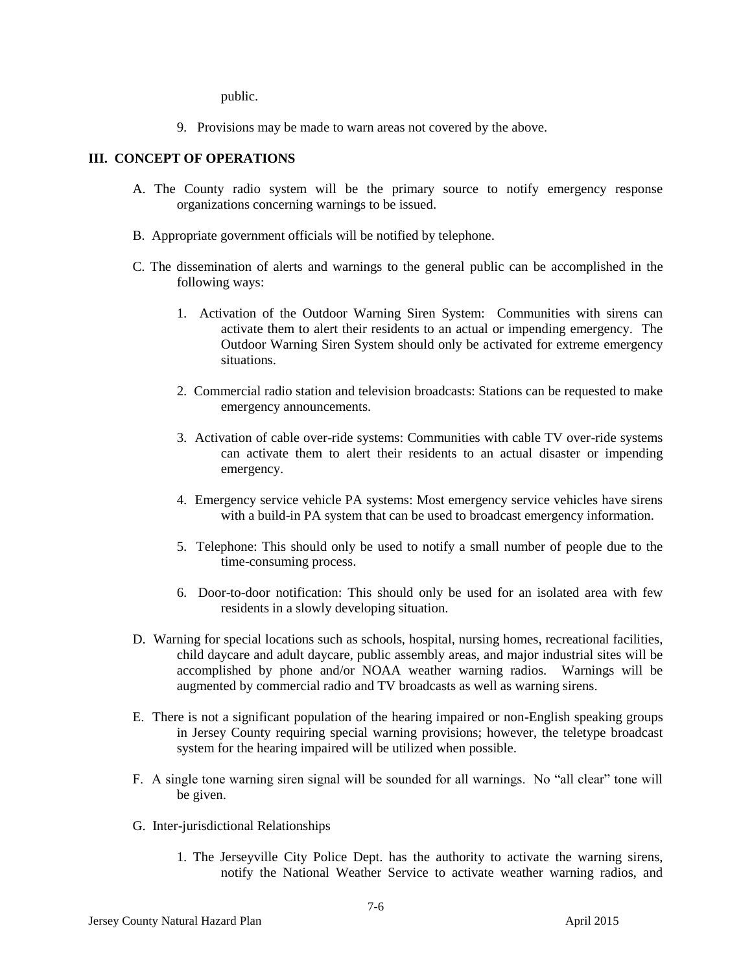public.

9. Provisions may be made to warn areas not covered by the above.

## **III. CONCEPT OF OPERATIONS**

- A. The County radio system will be the primary source to notify emergency response organizations concerning warnings to be issued.
- B. Appropriate government officials will be notified by telephone.
- C. The dissemination of alerts and warnings to the general public can be accomplished in the following ways:
	- 1. Activation of the Outdoor Warning Siren System: Communities with sirens can activate them to alert their residents to an actual or impending emergency. The Outdoor Warning Siren System should only be activated for extreme emergency situations.
	- 2. Commercial radio station and television broadcasts: Stations can be requested to make emergency announcements.
	- 3. Activation of cable over-ride systems: Communities with cable TV over-ride systems can activate them to alert their residents to an actual disaster or impending emergency.
	- 4. Emergency service vehicle PA systems: Most emergency service vehicles have sirens with a build-in PA system that can be used to broadcast emergency information.
	- 5. Telephone: This should only be used to notify a small number of people due to the time-consuming process.
	- 6. Door-to-door notification: This should only be used for an isolated area with few residents in a slowly developing situation.
- D. Warning for special locations such as schools, hospital, nursing homes, recreational facilities, child daycare and adult daycare, public assembly areas, and major industrial sites will be accomplished by phone and/or NOAA weather warning radios. Warnings will be augmented by commercial radio and TV broadcasts as well as warning sirens.
- E. There is not a significant population of the hearing impaired or non-English speaking groups in Jersey County requiring special warning provisions; however, the teletype broadcast system for the hearing impaired will be utilized when possible.
- F. A single tone warning siren signal will be sounded for all warnings. No "all clear" tone will be given.
- G. Inter-jurisdictional Relationships
	- 1. The Jerseyville City Police Dept. has the authority to activate the warning sirens, notify the National Weather Service to activate weather warning radios, and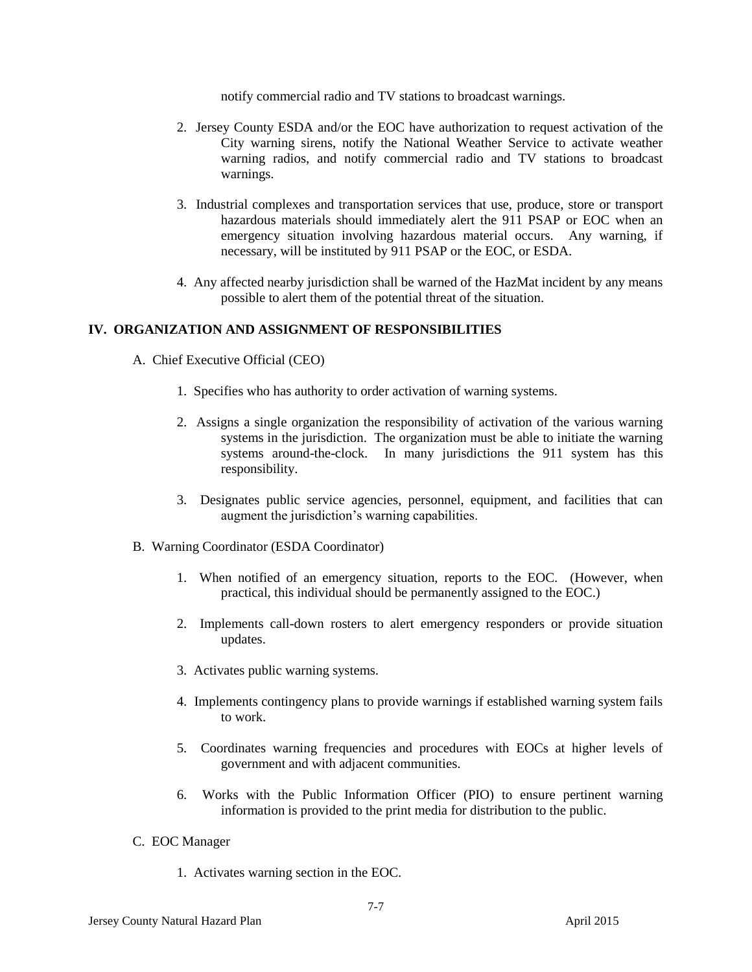notify commercial radio and TV stations to broadcast warnings.

- 2. Jersey County ESDA and/or the EOC have authorization to request activation of the City warning sirens, notify the National Weather Service to activate weather warning radios, and notify commercial radio and TV stations to broadcast warnings.
- 3. Industrial complexes and transportation services that use, produce, store or transport hazardous materials should immediately alert the 911 PSAP or EOC when an emergency situation involving hazardous material occurs. Any warning, if necessary, will be instituted by 911 PSAP or the EOC, or ESDA.
- 4. Any affected nearby jurisdiction shall be warned of the HazMat incident by any means possible to alert them of the potential threat of the situation.

#### **IV. ORGANIZATION AND ASSIGNMENT OF RESPONSIBILITIES**

- A. Chief Executive Official (CEO)
	- 1. Specifies who has authority to order activation of warning systems.
	- 2. Assigns a single organization the responsibility of activation of the various warning systems in the jurisdiction. The organization must be able to initiate the warning systems around-the-clock. In many jurisdictions the 911 system has this responsibility.
	- 3. Designates public service agencies, personnel, equipment, and facilities that can augment the jurisdiction's warning capabilities.
- B. Warning Coordinator (ESDA Coordinator)
	- 1. When notified of an emergency situation, reports to the EOC. (However, when practical, this individual should be permanently assigned to the EOC.)
	- 2. Implements call-down rosters to alert emergency responders or provide situation updates.
	- 3. Activates public warning systems.
	- 4. Implements contingency plans to provide warnings if established warning system fails to work.
	- 5. Coordinates warning frequencies and procedures with EOCs at higher levels of government and with adjacent communities.
	- 6. Works with the Public Information Officer (PIO) to ensure pertinent warning information is provided to the print media for distribution to the public.
- C. EOC Manager
	- 1. Activates warning section in the EOC.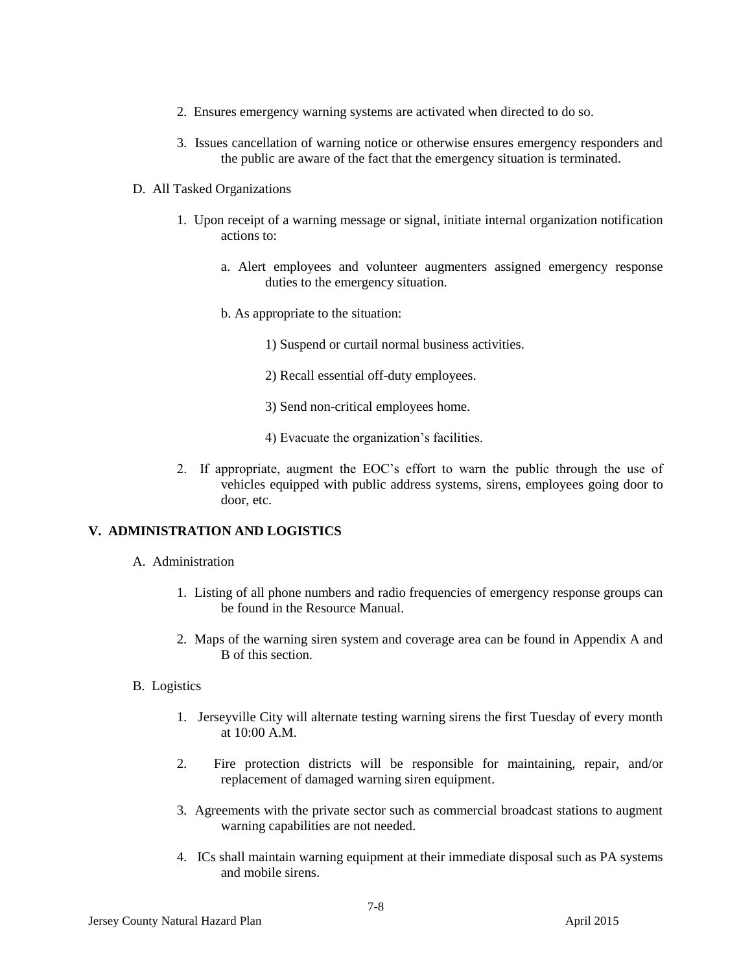- 2. Ensures emergency warning systems are activated when directed to do so.
- 3. Issues cancellation of warning notice or otherwise ensures emergency responders and the public are aware of the fact that the emergency situation is terminated.
- D. All Tasked Organizations
	- 1. Upon receipt of a warning message or signal, initiate internal organization notification actions to:
		- a. Alert employees and volunteer augmenters assigned emergency response duties to the emergency situation.
		- b. As appropriate to the situation:
			- 1) Suspend or curtail normal business activities.
			- 2) Recall essential off-duty employees.
			- 3) Send non-critical employees home.
			- 4) Evacuate the organization's facilities.
	- 2. If appropriate, augment the EOC's effort to warn the public through the use of vehicles equipped with public address systems, sirens, employees going door to door, etc.

### **V. ADMINISTRATION AND LOGISTICS**

- A. Administration
	- 1. Listing of all phone numbers and radio frequencies of emergency response groups can be found in the Resource Manual.
	- 2. Maps of the warning siren system and coverage area can be found in Appendix A and B of this section.
- B. Logistics
	- 1. Jerseyville City will alternate testing warning sirens the first Tuesday of every month at 10:00 A.M.
	- 2. Fire protection districts will be responsible for maintaining, repair, and/or replacement of damaged warning siren equipment.
	- 3. Agreements with the private sector such as commercial broadcast stations to augment warning capabilities are not needed.
	- 4. ICs shall maintain warning equipment at their immediate disposal such as PA systems and mobile sirens.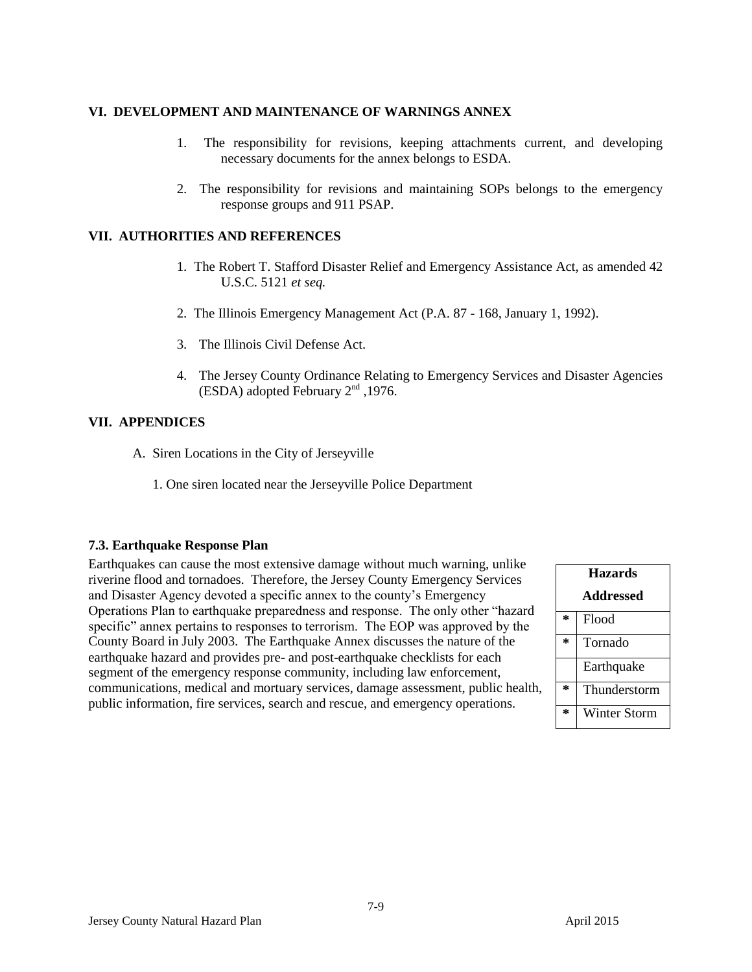# **VI. DEVELOPMENT AND MAINTENANCE OF WARNINGS ANNEX**

- 1. The responsibility for revisions, keeping attachments current, and developing necessary documents for the annex belongs to ESDA.
- 2. The responsibility for revisions and maintaining SOPs belongs to the emergency response groups and 911 PSAP.

# **VII. AUTHORITIES AND REFERENCES**

- 1. The Robert T. Stafford Disaster Relief and Emergency Assistance Act, as amended 42 U.S.C. 5121 *et seq.*
- 2. The Illinois Emergency Management Act (P.A. 87 168, January 1, 1992).
- 3. The Illinois Civil Defense Act.
- 4. The Jersey County Ordinance Relating to Emergency Services and Disaster Agencies (ESDA) adopted February  $2<sup>nd</sup>$ , 1976.

# **VII. APPENDICES**

- A. Siren Locations in the City of Jerseyville
	- 1. One siren located near the Jerseyville Police Department

### **7.3. Earthquake Response Plan**

Earthquakes can cause the most extensive damage without much warning, unlike riverine flood and tornadoes. Therefore, the Jersey County Emergency Services and Disaster Agency devoted a specific annex to the county's Emergency Operations Plan to earthquake preparedness and response. The only other "hazard specific" annex pertains to responses to terrorism. The EOP was approved by the County Board in July 2003. The Earthquake Annex discusses the nature of the earthquake hazard and provides pre- and post-earthquake checklists for each segment of the emergency response community, including law enforcement, communications, medical and mortuary services, damage assessment, public health, public information, fire services, search and rescue, and emergency operations.

7-9

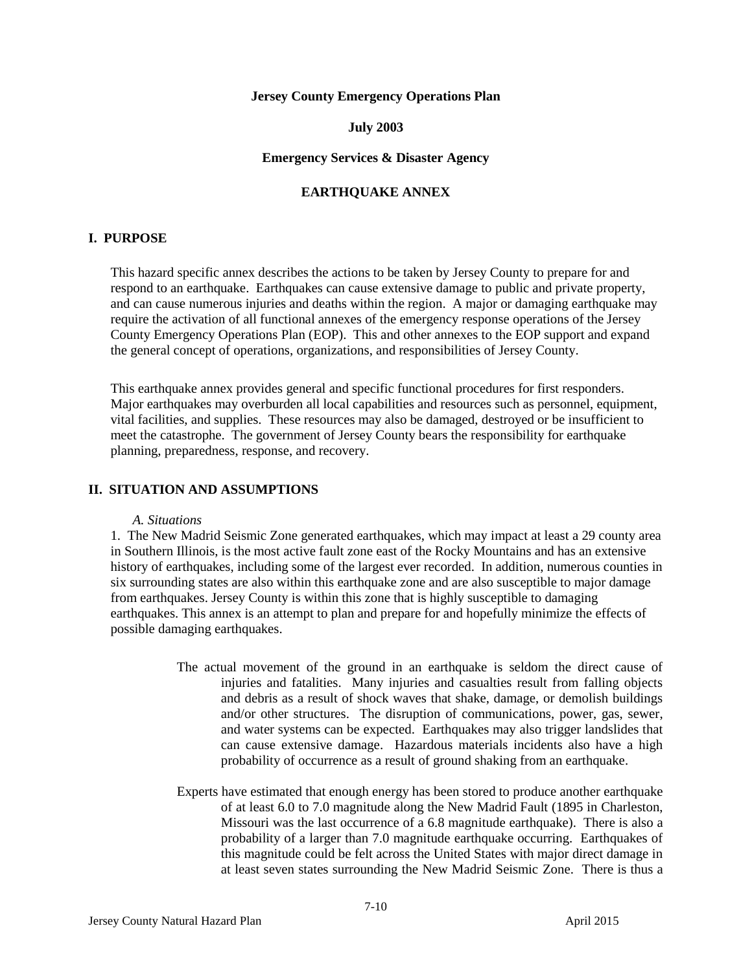#### **Jersey County Emergency Operations Plan**

#### **July 2003**

#### **Emergency Services & Disaster Agency**

# **EARTHQUAKE ANNEX**

### **I. PURPOSE**

This hazard specific annex describes the actions to be taken by Jersey County to prepare for and respond to an earthquake. Earthquakes can cause extensive damage to public and private property, and can cause numerous injuries and deaths within the region. A major or damaging earthquake may require the activation of all functional annexes of the emergency response operations of the Jersey County Emergency Operations Plan (EOP). This and other annexes to the EOP support and expand the general concept of operations, organizations, and responsibilities of Jersey County.

This earthquake annex provides general and specific functional procedures for first responders. Major earthquakes may overburden all local capabilities and resources such as personnel, equipment, vital facilities, and supplies. These resources may also be damaged, destroyed or be insufficient to meet the catastrophe. The government of Jersey County bears the responsibility for earthquake planning, preparedness, response, and recovery.

#### **II. SITUATION AND ASSUMPTIONS**

#### *A. Situations*

1. The New Madrid Seismic Zone generated earthquakes, which may impact at least a 29 county area in Southern Illinois, is the most active fault zone east of the Rocky Mountains and has an extensive history of earthquakes, including some of the largest ever recorded. In addition, numerous counties in six surrounding states are also within this earthquake zone and are also susceptible to major damage from earthquakes. Jersey County is within this zone that is highly susceptible to damaging earthquakes. This annex is an attempt to plan and prepare for and hopefully minimize the effects of possible damaging earthquakes.

- The actual movement of the ground in an earthquake is seldom the direct cause of injuries and fatalities. Many injuries and casualties result from falling objects and debris as a result of shock waves that shake, damage, or demolish buildings and/or other structures. The disruption of communications, power, gas, sewer, and water systems can be expected. Earthquakes may also trigger landslides that can cause extensive damage. Hazardous materials incidents also have a high probability of occurrence as a result of ground shaking from an earthquake.
- Experts have estimated that enough energy has been stored to produce another earthquake of at least 6.0 to 7.0 magnitude along the New Madrid Fault (1895 in Charleston, Missouri was the last occurrence of a 6.8 magnitude earthquake). There is also a probability of a larger than 7.0 magnitude earthquake occurring. Earthquakes of this magnitude could be felt across the United States with major direct damage in at least seven states surrounding the New Madrid Seismic Zone. There is thus a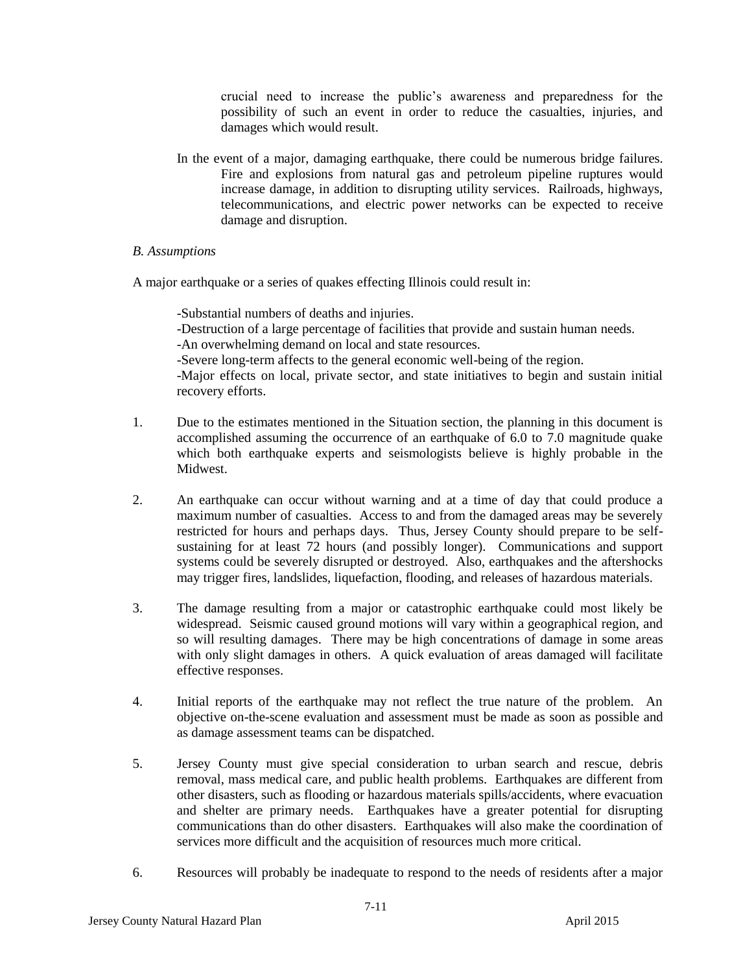crucial need to increase the public's awareness and preparedness for the possibility of such an event in order to reduce the casualties, injuries, and damages which would result.

In the event of a major, damaging earthquake, there could be numerous bridge failures. Fire and explosions from natural gas and petroleum pipeline ruptures would increase damage, in addition to disrupting utility services. Railroads, highways, telecommunications, and electric power networks can be expected to receive damage and disruption.

#### *B. Assumptions*

A major earthquake or a series of quakes effecting Illinois could result in:

-Substantial numbers of deaths and injuries.

-Destruction of a large percentage of facilities that provide and sustain human needs.

-An overwhelming demand on local and state resources.

-Severe long-term affects to the general economic well-being of the region.

-Major effects on local, private sector, and state initiatives to begin and sustain initial recovery efforts.

- 1. Due to the estimates mentioned in the Situation section, the planning in this document is accomplished assuming the occurrence of an earthquake of 6.0 to 7.0 magnitude quake which both earthquake experts and seismologists believe is highly probable in the Midwest.
- 2. An earthquake can occur without warning and at a time of day that could produce a maximum number of casualties. Access to and from the damaged areas may be severely restricted for hours and perhaps days. Thus, Jersey County should prepare to be selfsustaining for at least 72 hours (and possibly longer). Communications and support systems could be severely disrupted or destroyed. Also, earthquakes and the aftershocks may trigger fires, landslides, liquefaction, flooding, and releases of hazardous materials.
- 3. The damage resulting from a major or catastrophic earthquake could most likely be widespread. Seismic caused ground motions will vary within a geographical region, and so will resulting damages. There may be high concentrations of damage in some areas with only slight damages in others. A quick evaluation of areas damaged will facilitate effective responses.
- 4. Initial reports of the earthquake may not reflect the true nature of the problem. An objective on-the-scene evaluation and assessment must be made as soon as possible and as damage assessment teams can be dispatched.
- 5. Jersey County must give special consideration to urban search and rescue, debris removal, mass medical care, and public health problems. Earthquakes are different from other disasters, such as flooding or hazardous materials spills/accidents, where evacuation and shelter are primary needs. Earthquakes have a greater potential for disrupting communications than do other disasters. Earthquakes will also make the coordination of services more difficult and the acquisition of resources much more critical.
- 6. Resources will probably be inadequate to respond to the needs of residents after a major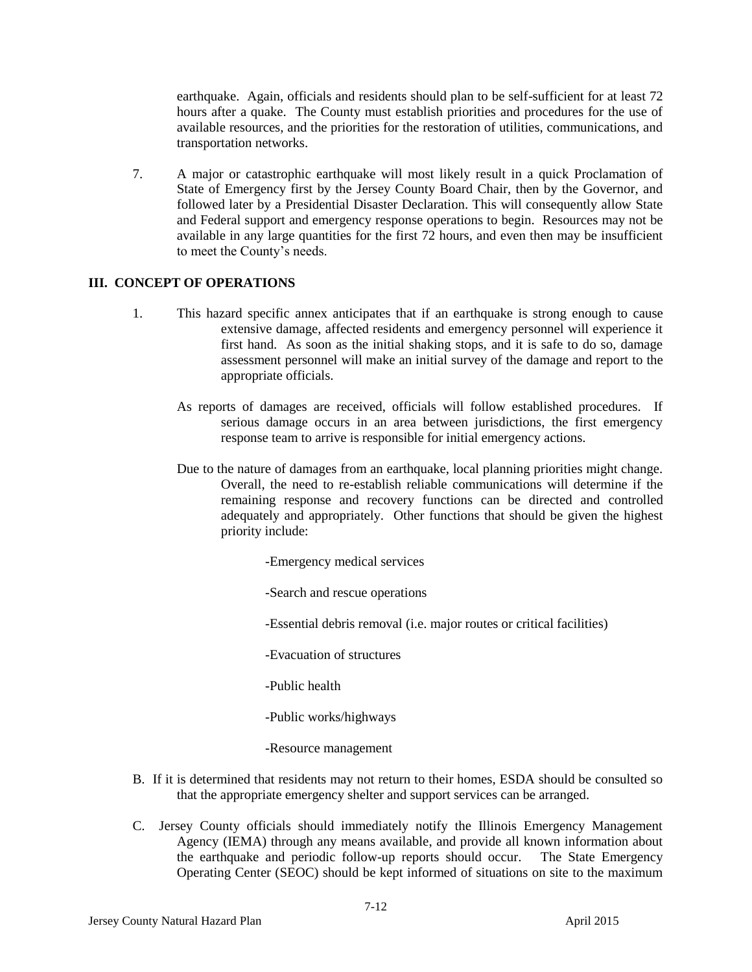earthquake. Again, officials and residents should plan to be self-sufficient for at least 72 hours after a quake. The County must establish priorities and procedures for the use of available resources, and the priorities for the restoration of utilities, communications, and transportation networks.

7. A major or catastrophic earthquake will most likely result in a quick Proclamation of State of Emergency first by the Jersey County Board Chair, then by the Governor, and followed later by a Presidential Disaster Declaration. This will consequently allow State and Federal support and emergency response operations to begin. Resources may not be available in any large quantities for the first 72 hours, and even then may be insufficient to meet the County's needs.

# **III. CONCEPT OF OPERATIONS**

- 1. This hazard specific annex anticipates that if an earthquake is strong enough to cause extensive damage, affected residents and emergency personnel will experience it first hand. As soon as the initial shaking stops, and it is safe to do so, damage assessment personnel will make an initial survey of the damage and report to the appropriate officials.
	- As reports of damages are received, officials will follow established procedures. If serious damage occurs in an area between jurisdictions, the first emergency response team to arrive is responsible for initial emergency actions.
	- Due to the nature of damages from an earthquake, local planning priorities might change. Overall, the need to re-establish reliable communications will determine if the remaining response and recovery functions can be directed and controlled adequately and appropriately. Other functions that should be given the highest priority include:

-Emergency medical services

-Search and rescue operations

-Essential debris removal (i.e. major routes or critical facilities)

-Evacuation of structures

-Public health

-Public works/highways

-Resource management

- B. If it is determined that residents may not return to their homes, ESDA should be consulted so that the appropriate emergency shelter and support services can be arranged.
- C.Jersey County officials should immediately notify the Illinois Emergency Management Agency (IEMA) through any means available, and provide all known information about the earthquake and periodic follow-up reports should occur. The State Emergency Operating Center (SEOC) should be kept informed of situations on site to the maximum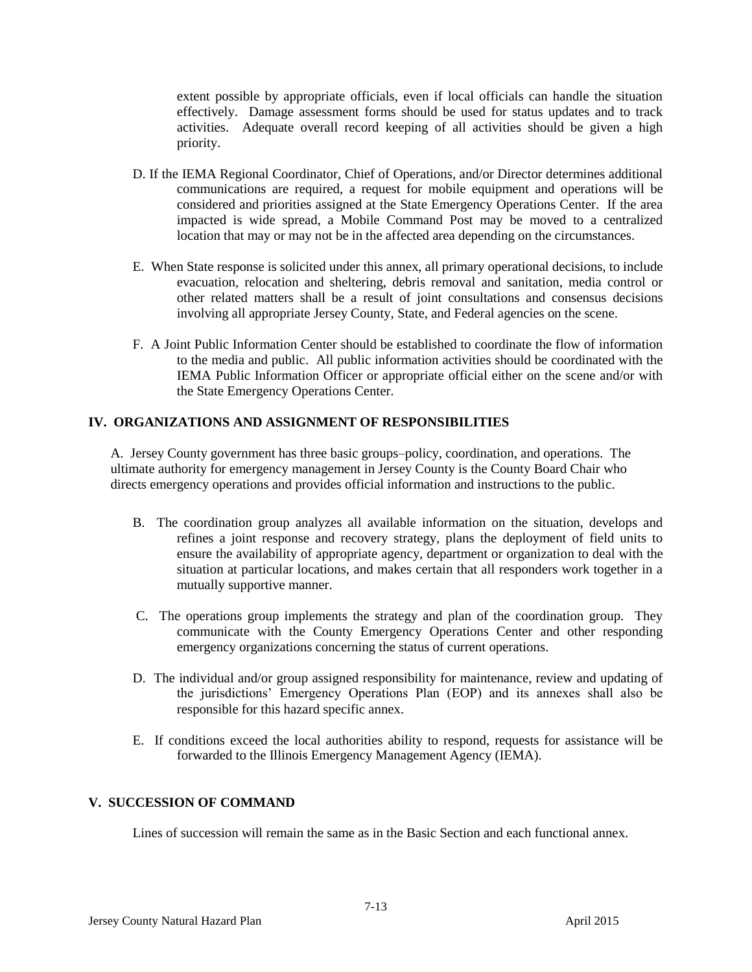extent possible by appropriate officials, even if local officials can handle the situation effectively. Damage assessment forms should be used for status updates and to track activities. Adequate overall record keeping of all activities should be given a high priority.

- D. If the IEMA Regional Coordinator, Chief of Operations, and/or Director determines additional communications are required, a request for mobile equipment and operations will be considered and priorities assigned at the State Emergency Operations Center. If the area impacted is wide spread, a Mobile Command Post may be moved to a centralized location that may or may not be in the affected area depending on the circumstances.
- E. When State response is solicited under this annex, all primary operational decisions, to include evacuation, relocation and sheltering, debris removal and sanitation, media control or other related matters shall be a result of joint consultations and consensus decisions involving all appropriate Jersey County, State, and Federal agencies on the scene.
- F. A Joint Public Information Center should be established to coordinate the flow of information to the media and public. All public information activities should be coordinated with the IEMA Public Information Officer or appropriate official either on the scene and/or with the State Emergency Operations Center.

# **IV. ORGANIZATIONS AND ASSIGNMENT OF RESPONSIBILITIES**

A. Jersey County government has three basic groups–policy, coordination, and operations. The ultimate authority for emergency management in Jersey County is the County Board Chair who directs emergency operations and provides official information and instructions to the public.

- B. The coordination group analyzes all available information on the situation, develops and refines a joint response and recovery strategy, plans the deployment of field units to ensure the availability of appropriate agency, department or organization to deal with the situation at particular locations, and makes certain that all responders work together in a mutually supportive manner.
- C. The operations group implements the strategy and plan of the coordination group. They communicate with the County Emergency Operations Center and other responding emergency organizations concerning the status of current operations.
- D. The individual and/or group assigned responsibility for maintenance, review and updating of the jurisdictions' Emergency Operations Plan (EOP) and its annexes shall also be responsible for this hazard specific annex.
- E. If conditions exceed the local authorities ability to respond, requests for assistance will be forwarded to the Illinois Emergency Management Agency (IEMA).

### **V. SUCCESSION OF COMMAND**

Lines of succession will remain the same as in the Basic Section and each functional annex.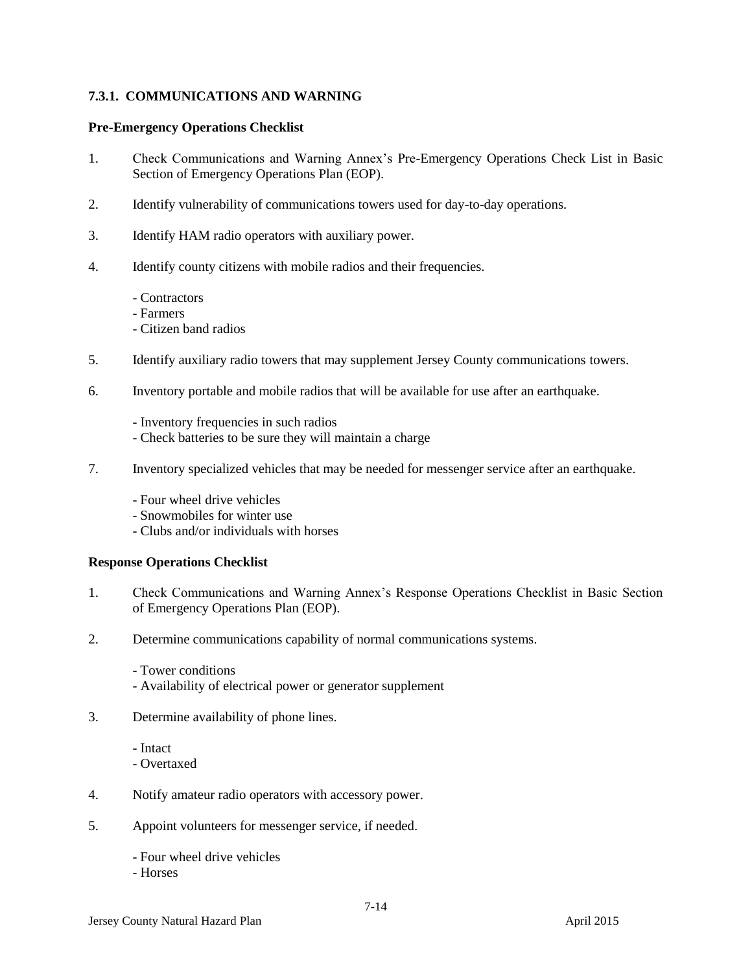# **7.3.1. COMMUNICATIONS AND WARNING**

#### **Pre-Emergency Operations Checklist**

- 1. Check Communications and Warning Annex's Pre-Emergency Operations Check List in Basic Section of Emergency Operations Plan (EOP).
- 2. Identify vulnerability of communications towers used for day-to-day operations.
- 3. Identify HAM radio operators with auxiliary power.
- 4. Identify county citizens with mobile radios and their frequencies.
	- Contractors
	- Farmers
	- Citizen band radios
- 5. Identify auxiliary radio towers that may supplement Jersey County communications towers.
- 6. Inventory portable and mobile radios that will be available for use after an earthquake.
	- Inventory frequencies in such radios
	- Check batteries to be sure they will maintain a charge
- 7. Inventory specialized vehicles that may be needed for messenger service after an earthquake.
	- Four wheel drive vehicles
	- Snowmobiles for winter use
	- Clubs and/or individuals with horses

- 1. Check Communications and Warning Annex's Response Operations Checklist in Basic Section of Emergency Operations Plan (EOP).
- 2. Determine communications capability of normal communications systems.
	- Tower conditions
	- Availability of electrical power or generator supplement
- 3. Determine availability of phone lines.
	- Intact
	- Overtaxed
- 4. Notify amateur radio operators with accessory power.
- 5. Appoint volunteers for messenger service, if needed.
	- Four wheel drive vehicles
	- Horses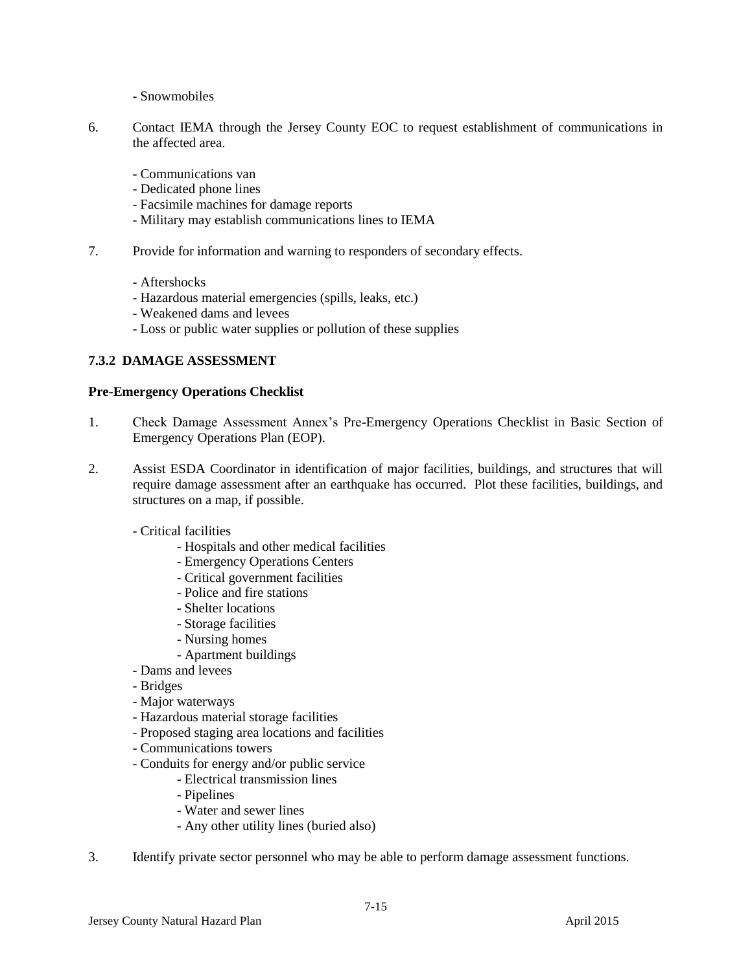- Snowmobiles

- 6. Contact IEMA through the Jersey County EOC to request establishment of communications in the affected area.
	- Communications van
	- Dedicated phone lines
	- Facsimile machines for damage reports
	- Military may establish communications lines to IEMA
- 7. Provide for information and warning to responders of secondary effects.
	- Aftershocks
	- Hazardous material emergencies (spills, leaks, etc.)
	- Weakened dams and levees
	- Loss or public water supplies or pollution of these supplies

# **7.3.2 DAMAGE ASSESSMENT**

### **Pre-Emergency Operations Checklist**

- 1. Check Damage Assessment Annex's Pre-Emergency Operations Checklist in Basic Section of Emergency Operations Plan (EOP).
- 2. Assist ESDA Coordinator in identification of major facilities, buildings, and structures that will require damage assessment after an earthquake has occurred. Plot these facilities, buildings, and structures on a map, if possible.
	- Critical facilities
		- Hospitals and other medical facilities
		- Emergency Operations Centers
		- Critical government facilities
		- Police and fire stations
		- Shelter locations
		- Storage facilities
		- Nursing homes
		- Apartment buildings
	- Dams and levees
	- Bridges
	- Major waterways
	- Hazardous material storage facilities
	- Proposed staging area locations and facilities
	- Communications towers
	- Conduits for energy and/or public service
		- Electrical transmission lines
		- Pipelines
		- Water and sewer lines
		- Any other utility lines (buried also)
- 3. Identify private sector personnel who may be able to perform damage assessment functions.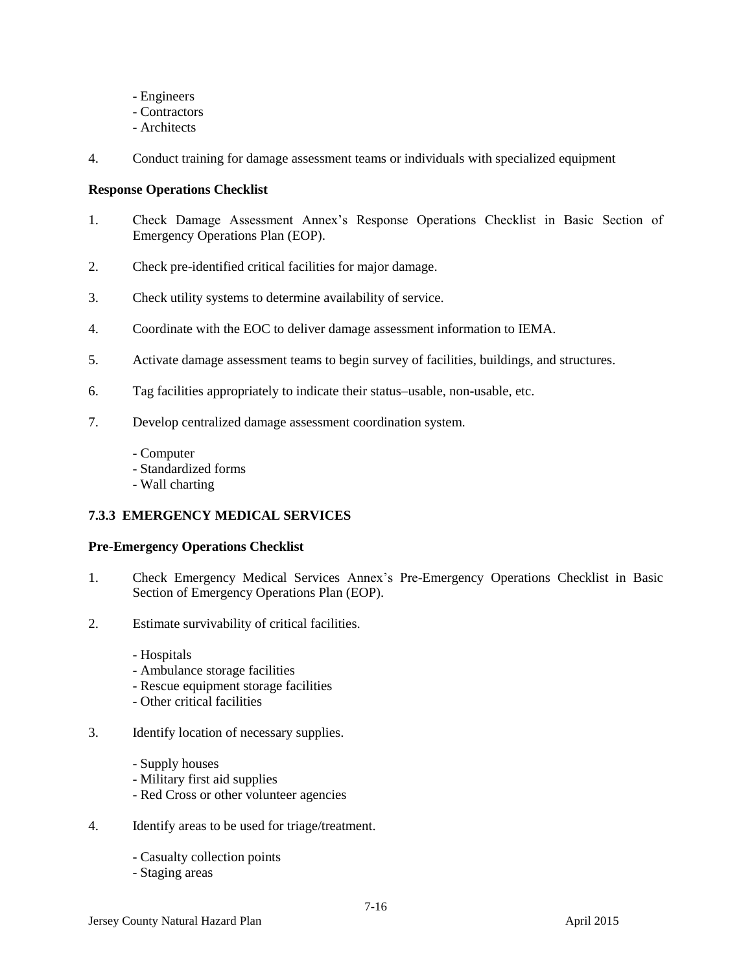- Engineers
- Contractors
- Architects
- 4. Conduct training for damage assessment teams or individuals with specialized equipment

## **Response Operations Checklist**

- 1. Check Damage Assessment Annex's Response Operations Checklist in Basic Section of Emergency Operations Plan (EOP).
- 2. Check pre-identified critical facilities for major damage.
- 3. Check utility systems to determine availability of service.
- 4. Coordinate with the EOC to deliver damage assessment information to IEMA.
- 5. Activate damage assessment teams to begin survey of facilities, buildings, and structures.
- 6. Tag facilities appropriately to indicate their status–usable, non-usable, etc.
- 7. Develop centralized damage assessment coordination system.
	- Computer
	- Standardized forms
	- Wall charting

# **7.3.3 EMERGENCY MEDICAL SERVICES**

### **Pre-Emergency Operations Checklist**

- 1. Check Emergency Medical Services Annex's Pre-Emergency Operations Checklist in Basic Section of Emergency Operations Plan (EOP).
- 2. Estimate survivability of critical facilities.
	- Hospitals
	- Ambulance storage facilities
	- Rescue equipment storage facilities
	- Other critical facilities
- 3. Identify location of necessary supplies.
	- Supply houses
	- Military first aid supplies
	- Red Cross or other volunteer agencies
- 4. Identify areas to be used for triage/treatment.
	- Casualty collection points
	- Staging areas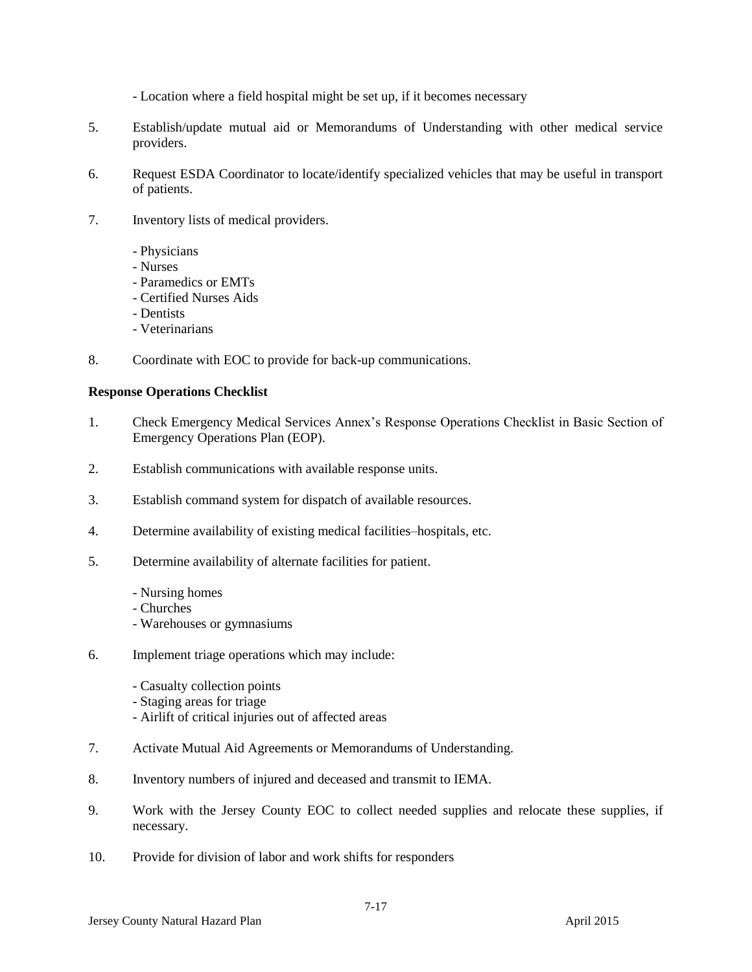- Location where a field hospital might be set up, if it becomes necessary

- 5. Establish/update mutual aid or Memorandums of Understanding with other medical service providers.
- 6. Request ESDA Coordinator to locate/identify specialized vehicles that may be useful in transport of patients.
- 7. Inventory lists of medical providers.
	- Physicians
	- Nurses
	- Paramedics or EMTs
	- Certified Nurses Aids
	- Dentists
	- Veterinarians
- 8. Coordinate with EOC to provide for back-up communications.

- 1. Check Emergency Medical Services Annex's Response Operations Checklist in Basic Section of Emergency Operations Plan (EOP).
- 2. Establish communications with available response units.
- 3. Establish command system for dispatch of available resources.
- 4. Determine availability of existing medical facilities–hospitals, etc.
- 5. Determine availability of alternate facilities for patient.
	- Nursing homes
	- Churches
	- Warehouses or gymnasiums
- 6. Implement triage operations which may include:
	- Casualty collection points
	- Staging areas for triage
	- Airlift of critical injuries out of affected areas
- 7. Activate Mutual Aid Agreements or Memorandums of Understanding.
- 8. Inventory numbers of injured and deceased and transmit to IEMA.
- 9. Work with the Jersey County EOC to collect needed supplies and relocate these supplies, if necessary.
- 10. Provide for division of labor and work shifts for responders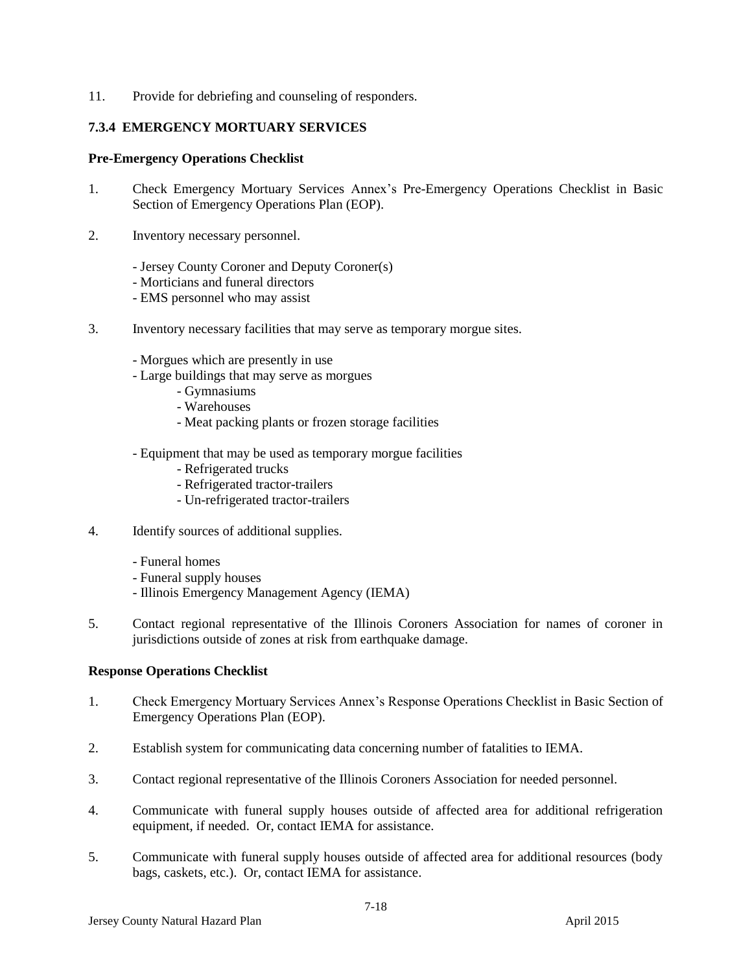11. Provide for debriefing and counseling of responders.

### **7.3.4 EMERGENCY MORTUARY SERVICES**

### **Pre-Emergency Operations Checklist**

- 1. Check Emergency Mortuary Services Annex's Pre-Emergency Operations Checklist in Basic Section of Emergency Operations Plan (EOP).
- 2. Inventory necessary personnel.
	- Jersey County Coroner and Deputy Coroner(s)
	- Morticians and funeral directors
	- EMS personnel who may assist
- 3. Inventory necessary facilities that may serve as temporary morgue sites.
	- Morgues which are presently in use
	- Large buildings that may serve as morgues
		- Gymnasiums
		- Warehouses
		- Meat packing plants or frozen storage facilities
	- Equipment that may be used as temporary morgue facilities
		- Refrigerated trucks
		- Refrigerated tractor-trailers
		- Un-refrigerated tractor-trailers
- 4. Identify sources of additional supplies.
	- Funeral homes
	- Funeral supply houses
	- Illinois Emergency Management Agency (IEMA)
- 5. Contact regional representative of the Illinois Coroners Association for names of coroner in jurisdictions outside of zones at risk from earthquake damage.

- 1. Check Emergency Mortuary Services Annex's Response Operations Checklist in Basic Section of Emergency Operations Plan (EOP).
- 2. Establish system for communicating data concerning number of fatalities to IEMA.
- 3. Contact regional representative of the Illinois Coroners Association for needed personnel.
- 4. Communicate with funeral supply houses outside of affected area for additional refrigeration equipment, if needed. Or, contact IEMA for assistance.
- 5. Communicate with funeral supply houses outside of affected area for additional resources (body bags, caskets, etc.). Or, contact IEMA for assistance.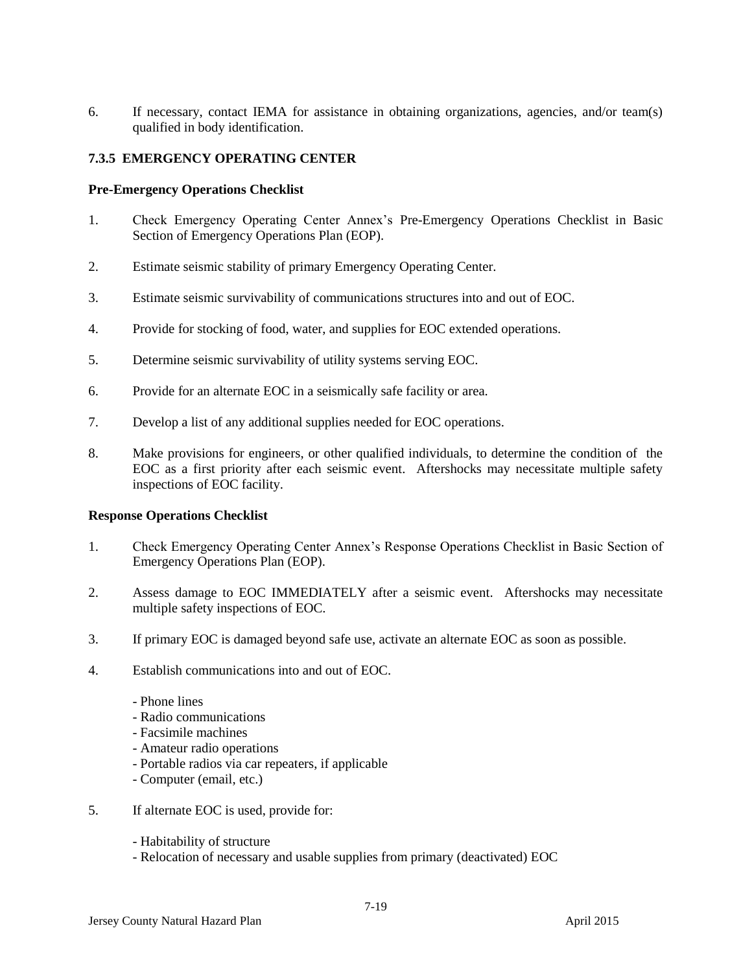6. If necessary, contact IEMA for assistance in obtaining organizations, agencies, and/or team(s) qualified in body identification.

# **7.3.5 EMERGENCY OPERATING CENTER**

#### **Pre-Emergency Operations Checklist**

- 1. Check Emergency Operating Center Annex's Pre-Emergency Operations Checklist in Basic Section of Emergency Operations Plan (EOP).
- 2. Estimate seismic stability of primary Emergency Operating Center.
- 3. Estimate seismic survivability of communications structures into and out of EOC.
- 4. Provide for stocking of food, water, and supplies for EOC extended operations.
- 5. Determine seismic survivability of utility systems serving EOC.
- 6. Provide for an alternate EOC in a seismically safe facility or area.
- 7. Develop a list of any additional supplies needed for EOC operations.
- 8. Make provisions for engineers, or other qualified individuals, to determine the condition of the EOC as a first priority after each seismic event. Aftershocks may necessitate multiple safety inspections of EOC facility.

- 1. Check Emergency Operating Center Annex's Response Operations Checklist in Basic Section of Emergency Operations Plan (EOP).
- 2. Assess damage to EOC IMMEDIATELY after a seismic event. Aftershocks may necessitate multiple safety inspections of EOC.
- 3. If primary EOC is damaged beyond safe use, activate an alternate EOC as soon as possible.
- 4. Establish communications into and out of EOC.
	- Phone lines
	- Radio communications
	- Facsimile machines
	- Amateur radio operations
	- Portable radios via car repeaters, if applicable
	- Computer (email, etc.)
- 5. If alternate EOC is used, provide for:
	- Habitability of structure
	- Relocation of necessary and usable supplies from primary (deactivated) EOC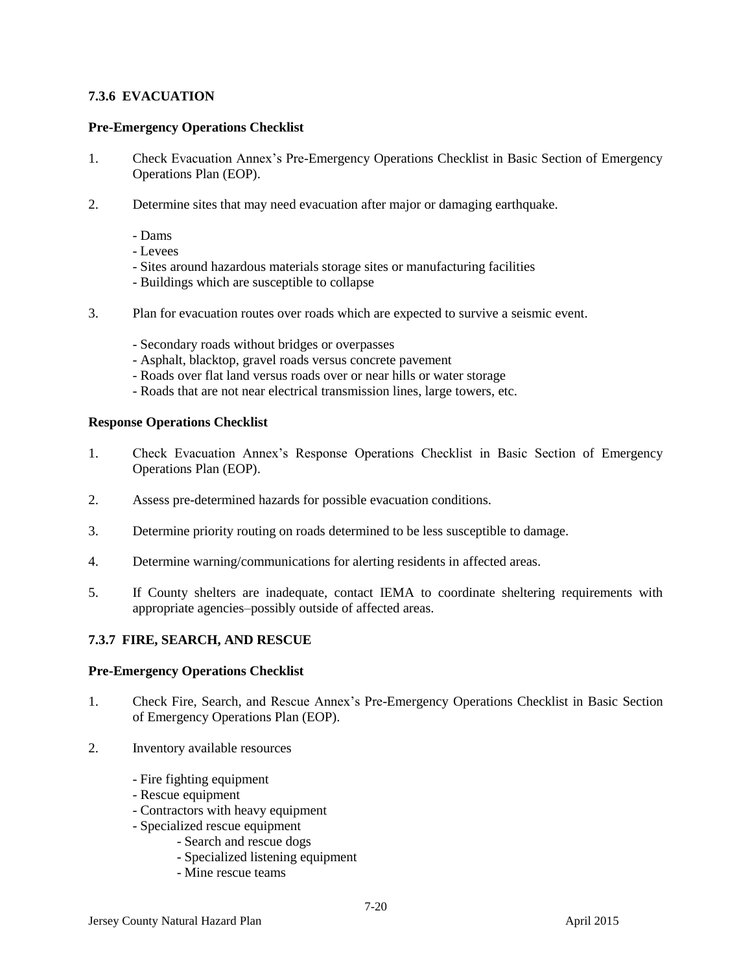# **7.3.6 EVACUATION**

### **Pre-Emergency Operations Checklist**

- 1. Check Evacuation Annex's Pre-Emergency Operations Checklist in Basic Section of Emergency Operations Plan (EOP).
- 2. Determine sites that may need evacuation after major or damaging earthquake.
	- Dams
	- Levees
	- Sites around hazardous materials storage sites or manufacturing facilities
	- Buildings which are susceptible to collapse
- 3. Plan for evacuation routes over roads which are expected to survive a seismic event.
	- Secondary roads without bridges or overpasses
	- Asphalt, blacktop, gravel roads versus concrete pavement
	- Roads over flat land versus roads over or near hills or water storage
	- Roads that are not near electrical transmission lines, large towers, etc.

#### **Response Operations Checklist**

- 1. Check Evacuation Annex's Response Operations Checklist in Basic Section of Emergency Operations Plan (EOP).
- 2. Assess pre-determined hazards for possible evacuation conditions.
- 3. Determine priority routing on roads determined to be less susceptible to damage.
- 4. Determine warning/communications for alerting residents in affected areas.
- 5. If County shelters are inadequate, contact IEMA to coordinate sheltering requirements with appropriate agencies–possibly outside of affected areas.

### **7.3.7 FIRE, SEARCH, AND RESCUE**

#### **Pre-Emergency Operations Checklist**

- 1. Check Fire, Search, and Rescue Annex's Pre-Emergency Operations Checklist in Basic Section of Emergency Operations Plan (EOP).
- 2. Inventory available resources
	- Fire fighting equipment
	- Rescue equipment
	- Contractors with heavy equipment
	- Specialized rescue equipment
		- Search and rescue dogs
		- Specialized listening equipment
		- Mine rescue teams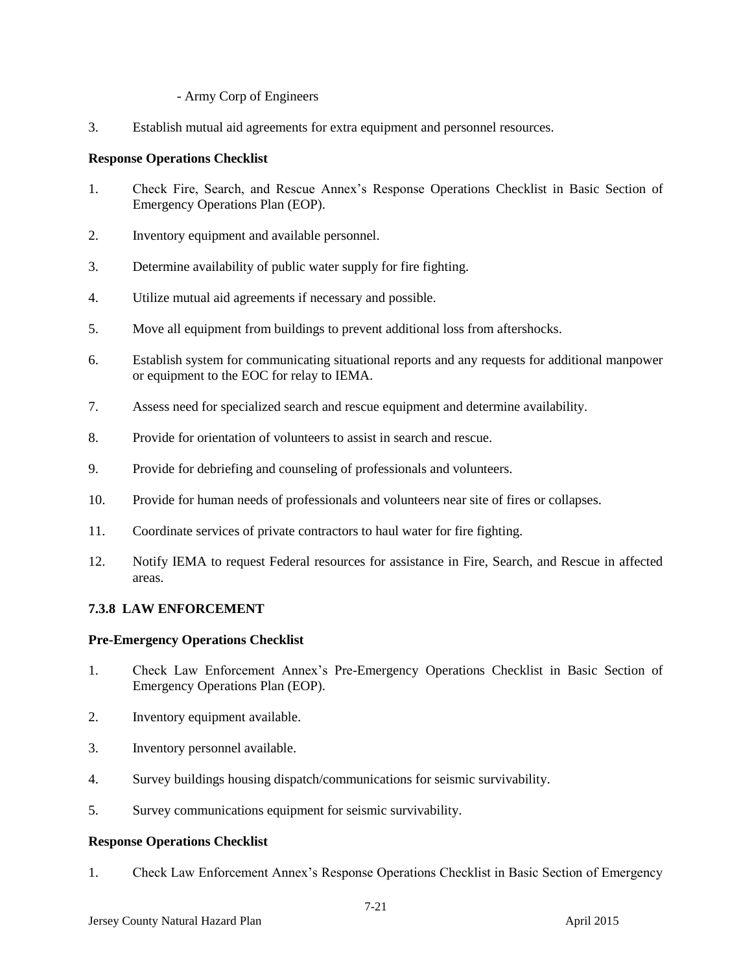### - Army Corp of Engineers

3. Establish mutual aid agreements for extra equipment and personnel resources.

# **Response Operations Checklist**

- 1. Check Fire, Search, and Rescue Annex's Response Operations Checklist in Basic Section of Emergency Operations Plan (EOP).
- 2. Inventory equipment and available personnel.
- 3. Determine availability of public water supply for fire fighting.
- 4. Utilize mutual aid agreements if necessary and possible.
- 5. Move all equipment from buildings to prevent additional loss from aftershocks.
- 6. Establish system for communicating situational reports and any requests for additional manpower or equipment to the EOC for relay to IEMA.
- 7. Assess need for specialized search and rescue equipment and determine availability.
- 8. Provide for orientation of volunteers to assist in search and rescue.
- 9. Provide for debriefing and counseling of professionals and volunteers.
- 10. Provide for human needs of professionals and volunteers near site of fires or collapses.
- 11. Coordinate services of private contractors to haul water for fire fighting.
- 12. Notify IEMA to request Federal resources for assistance in Fire, Search, and Rescue in affected areas.

# **7.3.8 LAW ENFORCEMENT**

### **Pre-Emergency Operations Checklist**

- 1. Check Law Enforcement Annex's Pre-Emergency Operations Checklist in Basic Section of Emergency Operations Plan (EOP).
- 2. Inventory equipment available.
- 3. Inventory personnel available.
- 4. Survey buildings housing dispatch/communications for seismic survivability.
- 5. Survey communications equipment for seismic survivability.

### **Response Operations Checklist**

1. Check Law Enforcement Annex's Response Operations Checklist in Basic Section of Emergency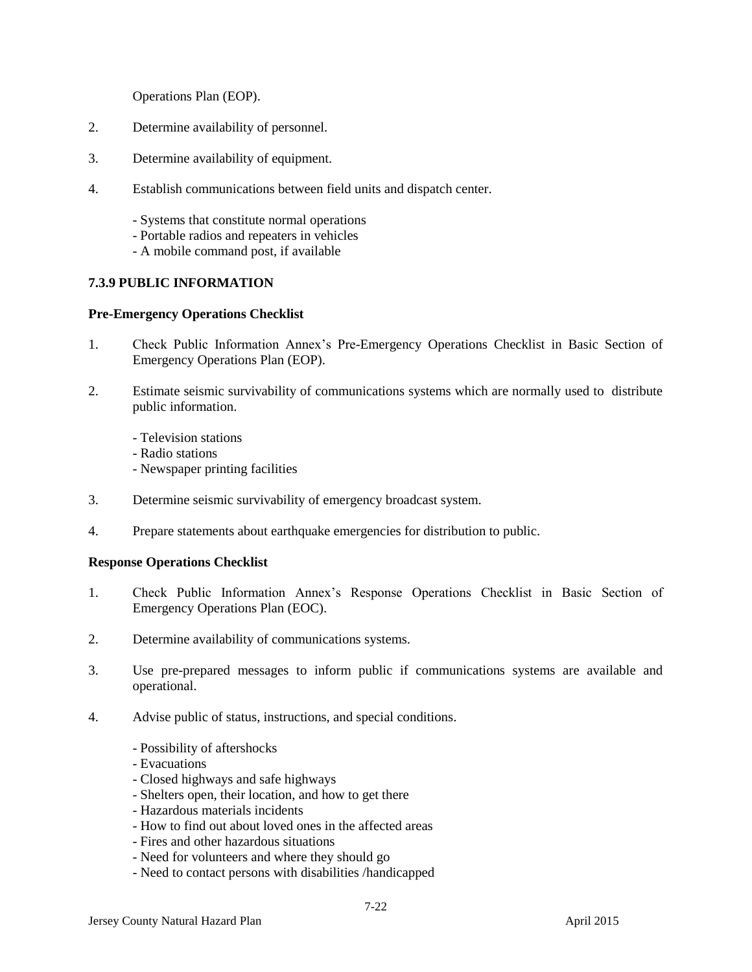Operations Plan (EOP).

- 2. Determine availability of personnel.
- 3. Determine availability of equipment.
- 4. Establish communications between field units and dispatch center.
	- Systems that constitute normal operations
	- Portable radios and repeaters in vehicles
	- A mobile command post, if available

### **7.3.9 PUBLIC INFORMATION**

### **Pre-Emergency Operations Checklist**

- 1. Check Public Information Annex's Pre-Emergency Operations Checklist in Basic Section of Emergency Operations Plan (EOP).
- 2. Estimate seismic survivability of communications systems which are normally used to distribute public information.
	- Television stations
	- Radio stations
	- Newspaper printing facilities
- 3. Determine seismic survivability of emergency broadcast system.
- 4. Prepare statements about earthquake emergencies for distribution to public.

- 1. Check Public Information Annex's Response Operations Checklist in Basic Section of Emergency Operations Plan (EOC).
- 2. Determine availability of communications systems.
- 3. Use pre-prepared messages to inform public if communications systems are available and operational.
- 4. Advise public of status, instructions, and special conditions.
	- Possibility of aftershocks
	- Evacuations
	- Closed highways and safe highways
	- Shelters open, their location, and how to get there
	- Hazardous materials incidents
	- How to find out about loved ones in the affected areas
	- Fires and other hazardous situations
	- Need for volunteers and where they should go
	- Need to contact persons with disabilities /handicapped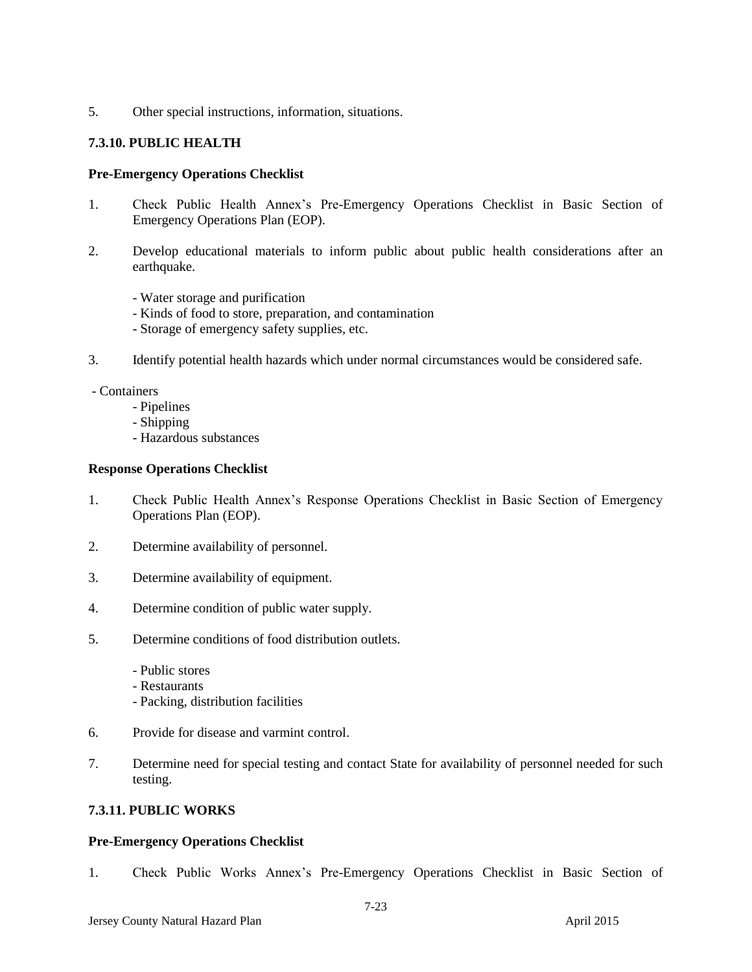5. Other special instructions, information, situations.

# **7.3.10. PUBLIC HEALTH**

#### **Pre-Emergency Operations Checklist**

- 1. Check Public Health Annex's Pre-Emergency Operations Checklist in Basic Section of Emergency Operations Plan (EOP).
- 2. Develop educational materials to inform public about public health considerations after an earthquake.
	- Water storage and purification
	- Kinds of food to store, preparation, and contamination
	- Storage of emergency safety supplies, etc.
- 3. Identify potential health hazards which under normal circumstances would be considered safe.

- Containers

- Pipelines
- Shipping
- Hazardous substances

#### **Response Operations Checklist**

- 1. Check Public Health Annex's Response Operations Checklist in Basic Section of Emergency Operations Plan (EOP).
- 2. Determine availability of personnel.
- 3. Determine availability of equipment.
- 4. Determine condition of public water supply.
- 5. Determine conditions of food distribution outlets.
	- Public stores
	- Restaurants
	- Packing, distribution facilities
- 6. Provide for disease and varmint control.
- 7. Determine need for special testing and contact State for availability of personnel needed for such testing.

### **7.3.11. PUBLIC WORKS**

### **Pre-Emergency Operations Checklist**

1. Check Public Works Annex's Pre-Emergency Operations Checklist in Basic Section of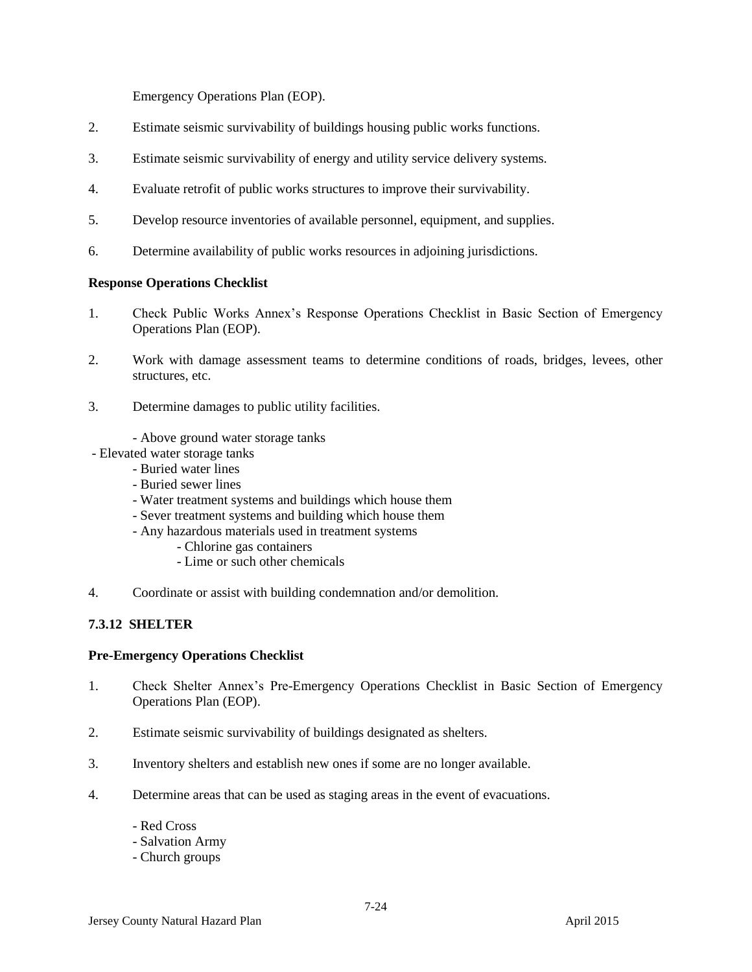Emergency Operations Plan (EOP).

- 2. Estimate seismic survivability of buildings housing public works functions.
- 3. Estimate seismic survivability of energy and utility service delivery systems.
- 4. Evaluate retrofit of public works structures to improve their survivability.
- 5. Develop resource inventories of available personnel, equipment, and supplies.
- 6. Determine availability of public works resources in adjoining jurisdictions.

#### **Response Operations Checklist**

- 1. Check Public Works Annex's Response Operations Checklist in Basic Section of Emergency Operations Plan (EOP).
- 2. Work with damage assessment teams to determine conditions of roads, bridges, levees, other structures, etc.
- 3. Determine damages to public utility facilities.
	- Above ground water storage tanks
- Elevated water storage tanks
	- Buried water lines
	- Buried sewer lines
	- Water treatment systems and buildings which house them
	- Sever treatment systems and building which house them
	- Any hazardous materials used in treatment systems
		- Chlorine gas containers
		- Lime or such other chemicals
- 4. Coordinate or assist with building condemnation and/or demolition.

### **7.3.12 SHELTER**

### **Pre-Emergency Operations Checklist**

- 1. Check Shelter Annex's Pre-Emergency Operations Checklist in Basic Section of Emergency Operations Plan (EOP).
- 2. Estimate seismic survivability of buildings designated as shelters.
- 3. Inventory shelters and establish new ones if some are no longer available.
- 4. Determine areas that can be used as staging areas in the event of evacuations.
	- Red Cross
	- Salvation Army
	- Church groups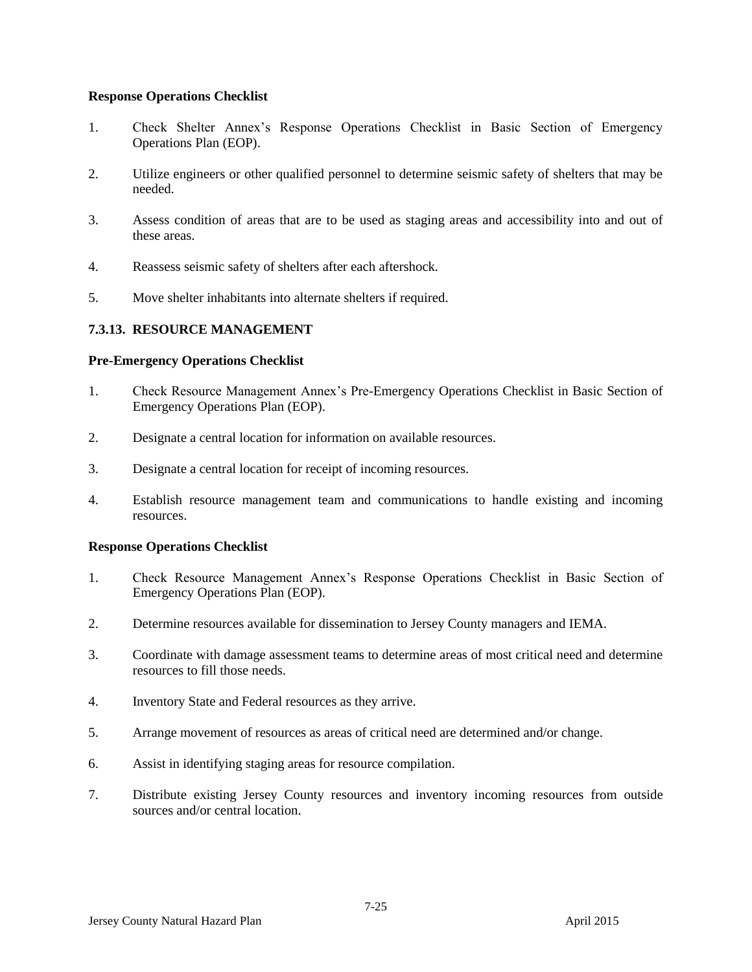#### **Response Operations Checklist**

- 1. Check Shelter Annex's Response Operations Checklist in Basic Section of Emergency Operations Plan (EOP).
- 2. Utilize engineers or other qualified personnel to determine seismic safety of shelters that may be needed.
- 3. Assess condition of areas that are to be used as staging areas and accessibility into and out of these areas.
- 4. Reassess seismic safety of shelters after each aftershock.
- 5. Move shelter inhabitants into alternate shelters if required.

# **7.3.13. RESOURCE MANAGEMENT**

### **Pre-Emergency Operations Checklist**

- 1. Check Resource Management Annex's Pre-Emergency Operations Checklist in Basic Section of Emergency Operations Plan (EOP).
- 2. Designate a central location for information on available resources.
- 3. Designate a central location for receipt of incoming resources.
- 4. Establish resource management team and communications to handle existing and incoming resources.

- 1. Check Resource Management Annex's Response Operations Checklist in Basic Section of Emergency Operations Plan (EOP).
- 2. Determine resources available for dissemination to Jersey County managers and IEMA.
- 3. Coordinate with damage assessment teams to determine areas of most critical need and determine resources to fill those needs.
- 4. Inventory State and Federal resources as they arrive.
- 5. Arrange movement of resources as areas of critical need are determined and/or change.
- 6. Assist in identifying staging areas for resource compilation.
- 7. Distribute existing Jersey County resources and inventory incoming resources from outside sources and/or central location.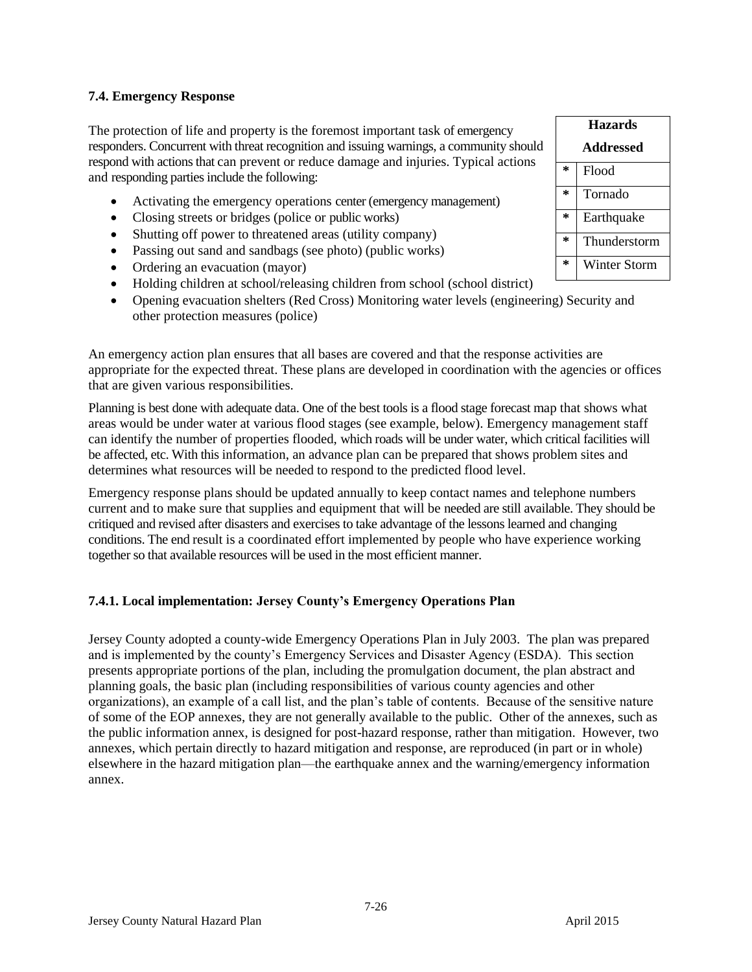# **7.4. Emergency Response**

The protection of life and property is the foremost important task of emergency responders. Concurrent with threat recognition and issuing warnings, a community should respond with actions that can prevent or reduce damage and injuries. Typical actions and responding parties include the following:

- Activating the emergency operations center (emergency management)
- Closing streets or bridges (police or public works)
- Shutting off power to threatened areas (utility company)
- Passing out sand and sandbags (see photo) (public works)
- Ordering an evacuation (mayor)
- Holding children at school/releasing children from school (school district)
- Opening evacuation shelters (Red Cross) Monitoring water levels (engineering) Security and other protection measures (police)

An emergency action plan ensures that all bases are covered and that the response activities are appropriate for the expected threat. These plans are developed in coordination with the agencies or offices that are given various responsibilities.

Planning is best done with adequate data. One of the best tools is a flood stage forecast map that shows what areas would be under water at various flood stages (see example, below). Emergency management staff can identify the number of properties flooded, which roads will be under water, which critical facilities will be affected, etc. With this information, an advance plan can be prepared that shows problem sites and determines what resources will be needed to respond to the predicted flood level.

Emergency response plans should be updated annually to keep contact names and telephone numbers current and to make sure that supplies and equipment that will be needed are still available. They should be critiqued and revised after disasters and exercises to take advantage of the lessons learned and changing conditions. The end result is a coordinated effort implemented by people who have experience working together so that available resources will be used in the most efficient manner.

# **7.4.1. Local implementation: Jersey County's Emergency Operations Plan**

Jersey County adopted a county-wide Emergency Operations Plan in July 2003. The plan was prepared and is implemented by the county's Emergency Services and Disaster Agency (ESDA). This section presents appropriate portions of the plan, including the promulgation document, the plan abstract and planning goals, the basic plan (including responsibilities of various county agencies and other organizations), an example of a call list, and the plan's table of contents. Because of the sensitive nature of some of the EOP annexes, they are not generally available to the public. Other of the annexes, such as the public information annex, is designed for post-hazard response, rather than mitigation. However, two annexes, which pertain directly to hazard mitigation and response, are reproduced (in part or in whole) elsewhere in the hazard mitigation plan—the earthquake annex and the warning/emergency information annex.

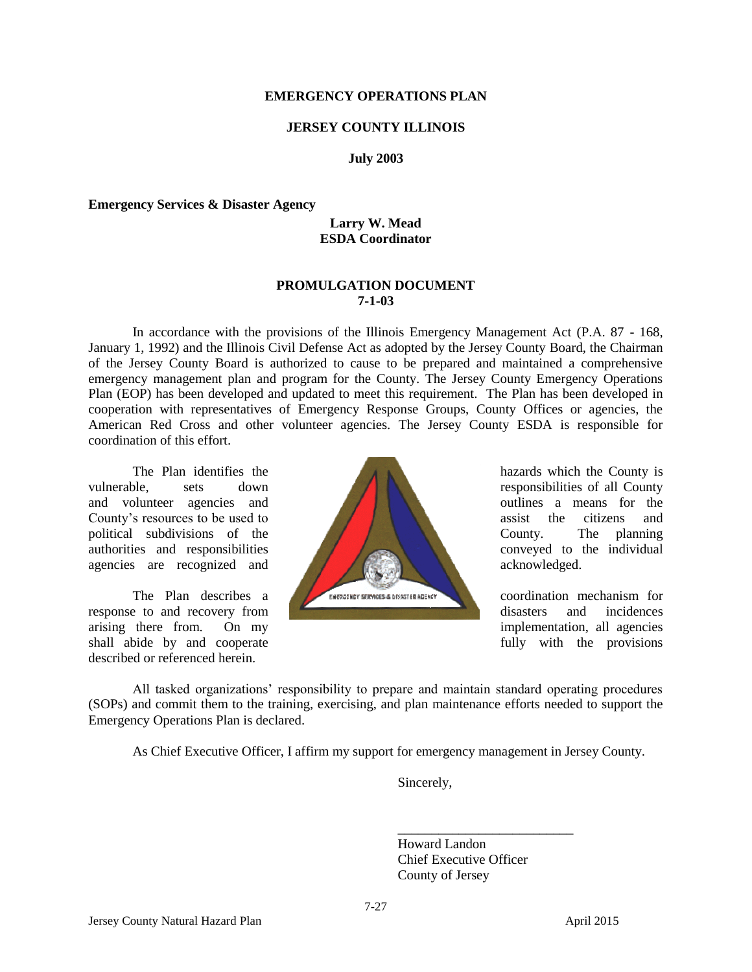#### **EMERGENCY OPERATIONS PLAN**

#### **JERSEY COUNTY ILLINOIS**

#### **July 2003**

#### **Emergency Services & Disaster Agency**

#### **Larry W. Mead ESDA Coordinator**

#### **PROMULGATION DOCUMENT 7-1-03**

In accordance with the provisions of the Illinois Emergency Management Act (P.A. 87 - 168, January 1, 1992) and the Illinois Civil Defense Act as adopted by the Jersey County Board, the Chairman of the Jersey County Board is authorized to cause to be prepared and maintained a comprehensive emergency management plan and program for the County. The Jersey County Emergency Operations Plan (EOP) has been developed and updated to meet this requirement. The Plan has been developed in cooperation with representatives of Emergency Response Groups, County Offices or agencies, the American Red Cross and other volunteer agencies. The Jersey County ESDA is responsible for coordination of this effort.

described or referenced herein.



All tasked organizations' responsibility to prepare and maintain standard operating procedures (SOPs) and commit them to the training, exercising, and plan maintenance efforts needed to support the Emergency Operations Plan is declared.

As Chief Executive Officer, I affirm my support for emergency management in Jersey County.

Sincerely,

Howard Landon Chief Executive Officer County of Jersey

\_\_\_\_\_\_\_\_\_\_\_\_\_\_\_\_\_\_\_\_\_\_\_\_\_\_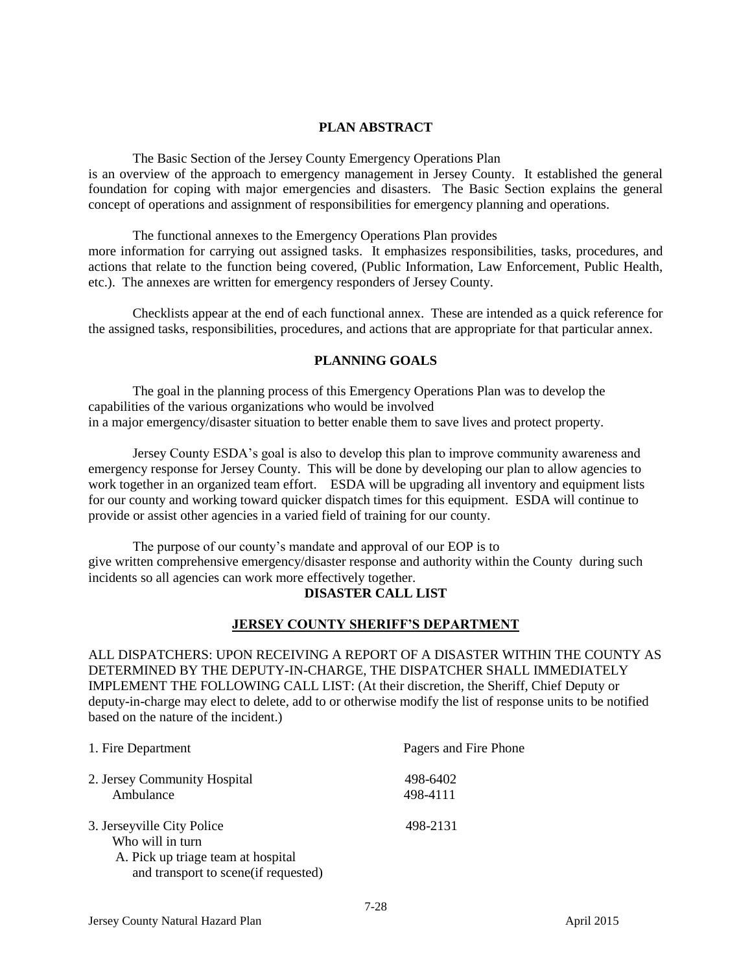### **PLAN ABSTRACT**

The Basic Section of the Jersey County Emergency Operations Plan

is an overview of the approach to emergency management in Jersey County. It established the general foundation for coping with major emergencies and disasters. The Basic Section explains the general concept of operations and assignment of responsibilities for emergency planning and operations.

The functional annexes to the Emergency Operations Plan provides more information for carrying out assigned tasks. It emphasizes responsibilities, tasks, procedures, and actions that relate to the function being covered, (Public Information, Law Enforcement, Public Health, etc.). The annexes are written for emergency responders of Jersey County.

Checklists appear at the end of each functional annex. These are intended as a quick reference for the assigned tasks, responsibilities, procedures, and actions that are appropriate for that particular annex.

#### **PLANNING GOALS**

The goal in the planning process of this Emergency Operations Plan was to develop the capabilities of the various organizations who would be involved in a major emergency/disaster situation to better enable them to save lives and protect property.

Jersey County ESDA's goal is also to develop this plan to improve community awareness and emergency response for Jersey County. This will be done by developing our plan to allow agencies to work together in an organized team effort. ESDA will be upgrading all inventory and equipment lists for our county and working toward quicker dispatch times for this equipment. ESDA will continue to provide or assist other agencies in a varied field of training for our county.

The purpose of our county's mandate and approval of our EOP is to give written comprehensive emergency/disaster response and authority within the County during such incidents so all agencies can work more effectively together.

### **DISASTER CALL LIST**

### **JERSEY COUNTY SHERIFF'S DEPARTMENT**

ALL DISPATCHERS: UPON RECEIVING A REPORT OF A DISASTER WITHIN THE COUNTY AS DETERMINED BY THE DEPUTY-IN-CHARGE, THE DISPATCHER SHALL IMMEDIATELY IMPLEMENT THE FOLLOWING CALL LIST: (At their discretion, the Sheriff, Chief Deputy or deputy-in-charge may elect to delete, add to or otherwise modify the list of response units to be notified based on the nature of the incident.)

| 1. Fire Department                        | Pagers and Fire Phone |
|-------------------------------------------|-----------------------|
| 2. Jersey Community Hospital<br>Ambulance | 498-6402<br>498-4111  |
| 3. Jerseyville City Police                | 498-2131              |
| Who will in turn                          |                       |
| A. Pick up triage team at hospital        |                       |
| and transport to scene(if requested)      |                       |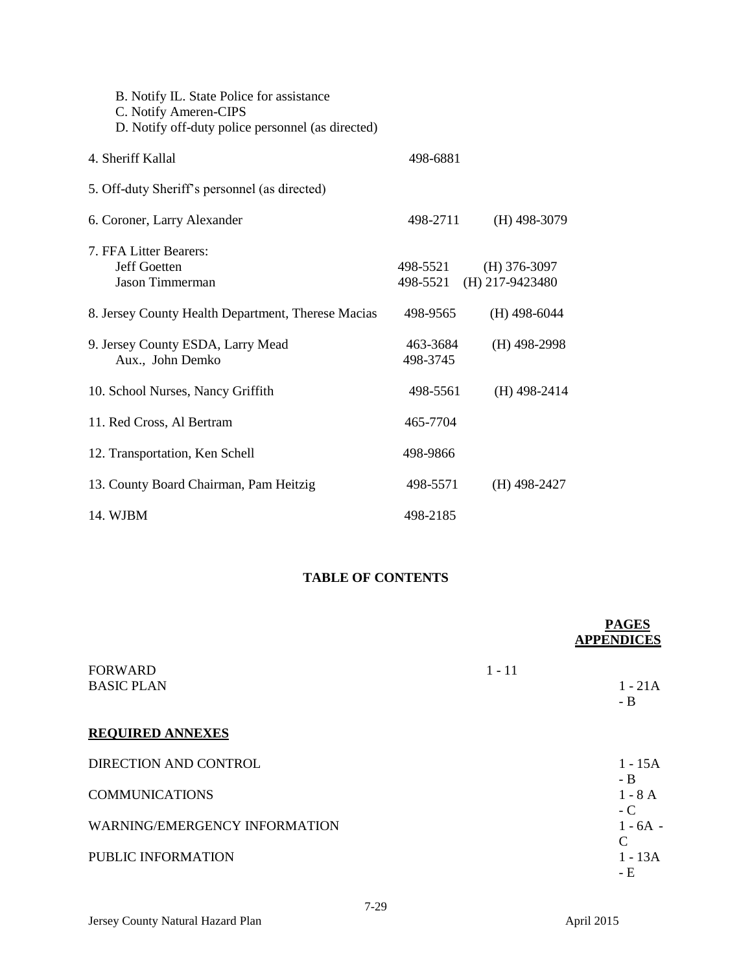| B. Notify IL. State Police for assistance<br>C. Notify Ameren-CIPS<br>D. Notify off-duty police personnel (as directed) |                      |                                     |
|-------------------------------------------------------------------------------------------------------------------------|----------------------|-------------------------------------|
| 4. Sheriff Kallal                                                                                                       | 498-6881             |                                     |
| 5. Off-duty Sheriff's personnel (as directed)                                                                           |                      |                                     |
| 6. Coroner, Larry Alexander                                                                                             | 498-2711             | $(H)$ 498-3079                      |
| 7. FFA Litter Bearers:<br>Jeff Goetten<br><b>Jason Timmerman</b>                                                        | 498-5521<br>498-5521 | $(H)$ 376-3097<br>$(H)$ 217-9423480 |
| 8. Jersey County Health Department, Therese Macias                                                                      | 498-9565             | $(H)$ 498-6044                      |
| 9. Jersey County ESDA, Larry Mead<br>Aux., John Demko                                                                   | 463-3684<br>498-3745 | $(H)$ 498-2998                      |
| 10. School Nurses, Nancy Griffith                                                                                       | 498-5561             | $(H)$ 498-2414                      |
| 11. Red Cross, Al Bertram                                                                                               | 465-7704             |                                     |
| 12. Transportation, Ken Schell                                                                                          | 498-9866             |                                     |
| 13. County Board Chairman, Pam Heitzig                                                                                  | 498-5571             | $(H)$ 498-2427                      |
| 14. WJBM                                                                                                                | 498-2185             |                                     |

# **TABLE OF CONTENTS**

|                                      |          | <b>PAGES</b><br><b>APPENDICES</b> |
|--------------------------------------|----------|-----------------------------------|
| <b>FORWARD</b><br><b>BASIC PLAN</b>  | $1 - 11$ | $1 - 21A$<br>- B                  |
| <b>REQUIRED ANNEXES</b>              |          |                                   |
| DIRECTION AND CONTROL                |          | $1 - 15A$                         |
| <b>COMMUNICATIONS</b>                |          | - B<br>$1 - 8$ A                  |
| <b>WARNING/EMERGENCY INFORMATION</b> |          | - C<br>$1 - 6A -$                 |
| PUBLIC INFORMATION                   |          | $\mathsf{C}$<br>$1 - 13A$<br>- E  |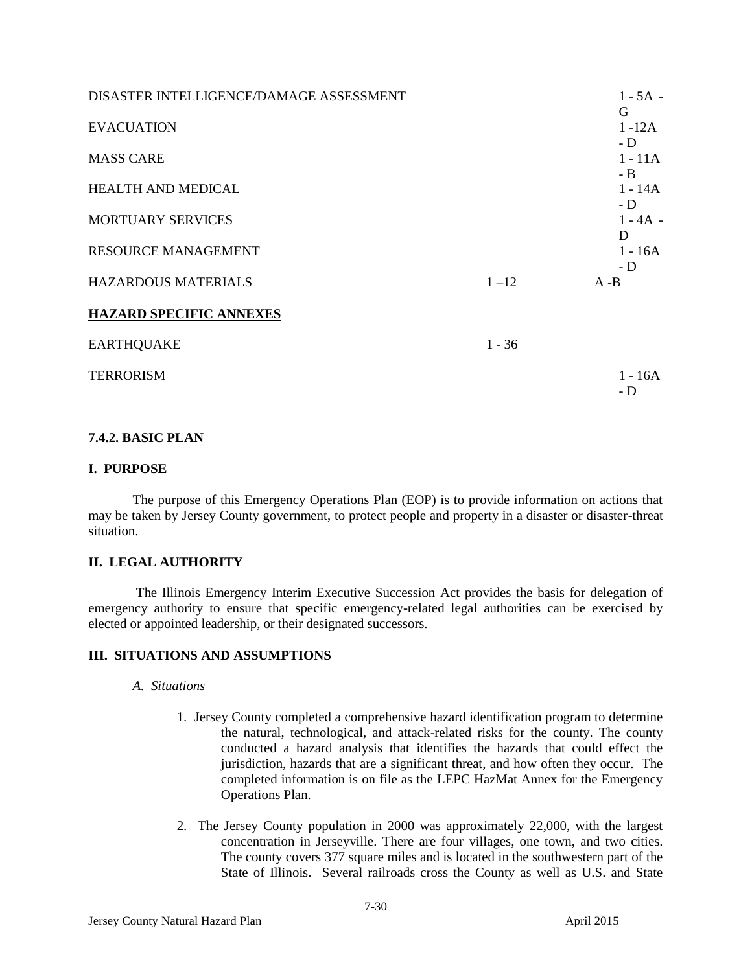| DISASTER INTELLIGENCE/DAMAGE ASSESSMENT |          | $1 - 5A -$<br>G   |
|-----------------------------------------|----------|-------------------|
| <b>EVACUATION</b>                       |          | $1 - 12A$         |
| <b>MASS CARE</b>                        |          | $-D$<br>$1 - 11A$ |
| <b>HEALTH AND MEDICAL</b>               |          | - B<br>$1 - 14A$  |
| <b>MORTUARY SERVICES</b>                |          | - D<br>$1 - 4A -$ |
| <b>RESOURCE MANAGEMENT</b>              |          | D<br>$1 - 16A$    |
| <b>HAZARDOUS MATERIALS</b>              | $1 - 12$ | - D<br>$A - B$    |
| <b>HAZARD SPECIFIC ANNEXES</b>          |          |                   |
| <b>EARTHQUAKE</b>                       | $1 - 36$ |                   |
| <b>TERRORISM</b>                        |          | $1 - 16A$<br>- D  |

# **7.4.2. BASIC PLAN**

### **I. PURPOSE**

The purpose of this Emergency Operations Plan (EOP) is to provide information on actions that may be taken by Jersey County government, to protect people and property in a disaster or disaster-threat situation.

### **II. LEGAL AUTHORITY**

The Illinois Emergency Interim Executive Succession Act provides the basis for delegation of emergency authority to ensure that specific emergency-related legal authorities can be exercised by elected or appointed leadership, or their designated successors.

### **III. SITUATIONS AND ASSUMPTIONS**

#### *A. Situations*

- 1. Jersey County completed a comprehensive hazard identification program to determine the natural, technological, and attack-related risks for the county. The county conducted a hazard analysis that identifies the hazards that could effect the jurisdiction, hazards that are a significant threat, and how often they occur. The completed information is on file as the LEPC HazMat Annex for the Emergency Operations Plan.
- 2. The Jersey County population in 2000 was approximately 22,000, with the largest concentration in Jerseyville. There are four villages, one town, and two cities. The county covers 377 square miles and is located in the southwestern part of the State of Illinois. Several railroads cross the County as well as U.S. and State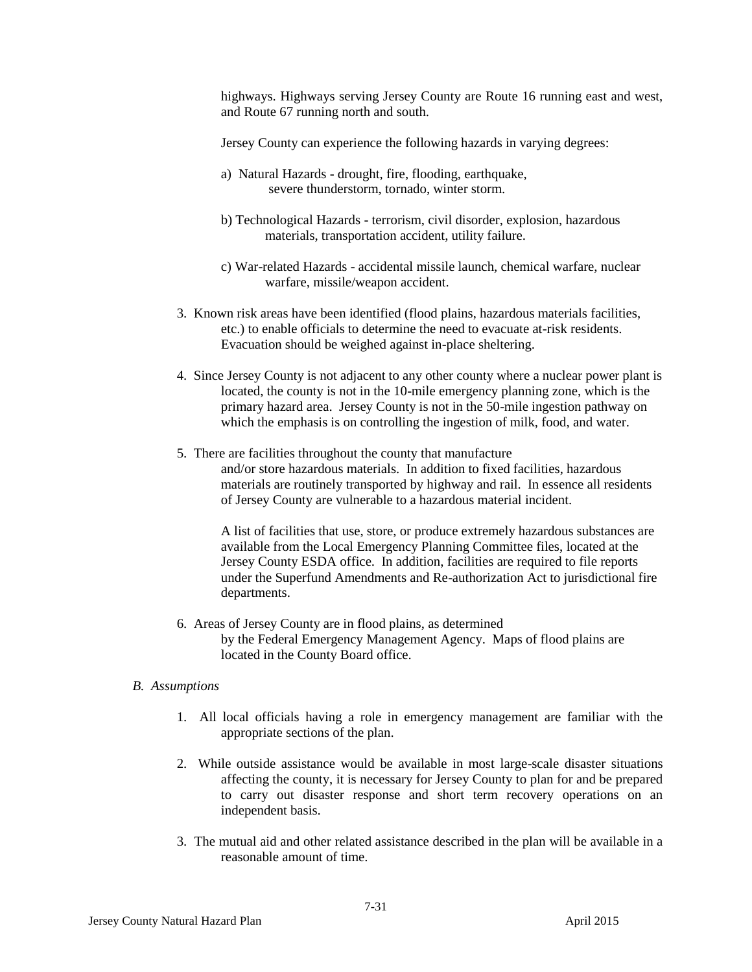highways. Highways serving Jersey County are Route 16 running east and west, and Route 67 running north and south.

Jersey County can experience the following hazards in varying degrees:

- a) Natural Hazards drought, fire, flooding, earthquake, severe thunderstorm, tornado, winter storm.
- b) Technological Hazards terrorism, civil disorder, explosion, hazardous materials, transportation accident, utility failure.
- c) War-related Hazards accidental missile launch, chemical warfare, nuclear warfare, missile/weapon accident.
- 3. Known risk areas have been identified (flood plains, hazardous materials facilities, etc.) to enable officials to determine the need to evacuate at-risk residents. Evacuation should be weighed against in-place sheltering.
- 4. Since Jersey County is not adjacent to any other county where a nuclear power plant is located, the county is not in the 10-mile emergency planning zone, which is the primary hazard area. Jersey County is not in the 50-mile ingestion pathway on which the emphasis is on controlling the ingestion of milk, food, and water.
- 5. There are facilities throughout the county that manufacture and/or store hazardous materials. In addition to fixed facilities, hazardous materials are routinely transported by highway and rail. In essence all residents of Jersey County are vulnerable to a hazardous material incident.

A list of facilities that use, store, or produce extremely hazardous substances are available from the Local Emergency Planning Committee files, located at the Jersey County ESDA office. In addition, facilities are required to file reports under the Superfund Amendments and Re-authorization Act to jurisdictional fire departments.

6. Areas of Jersey County are in flood plains, as determined by the Federal Emergency Management Agency. Maps of flood plains are located in the County Board office.

### *B. Assumptions*

- 1. All local officials having a role in emergency management are familiar with the appropriate sections of the plan.
- 2. While outside assistance would be available in most large-scale disaster situations affecting the county, it is necessary for Jersey County to plan for and be prepared to carry out disaster response and short term recovery operations on an independent basis.
- 3. The mutual aid and other related assistance described in the plan will be available in a reasonable amount of time.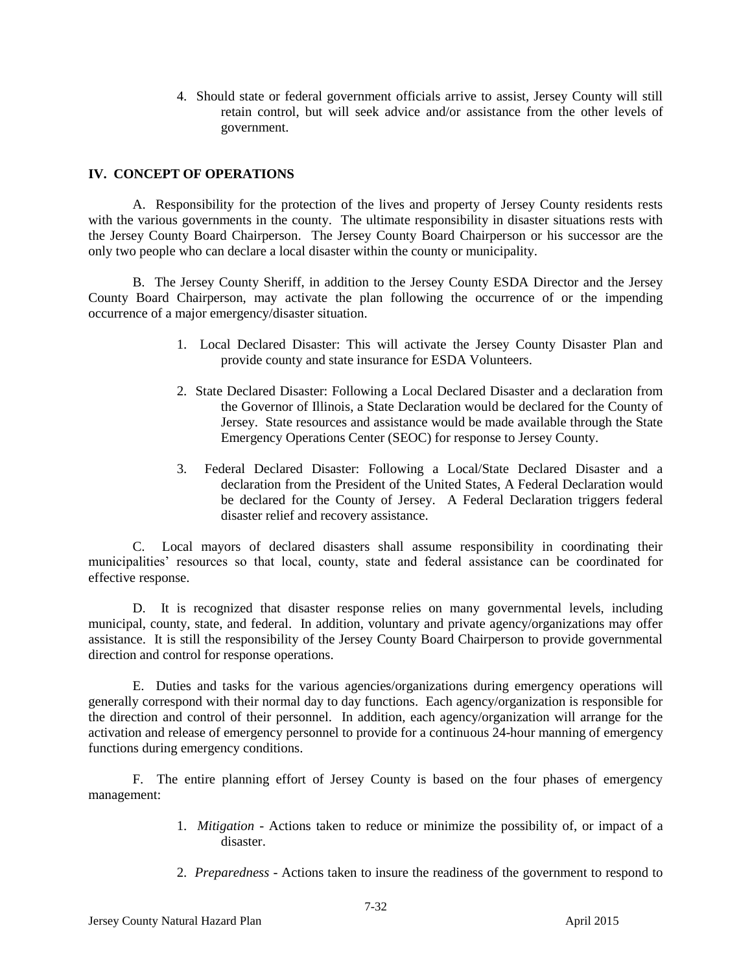4. Should state or federal government officials arrive to assist, Jersey County will still retain control, but will seek advice and/or assistance from the other levels of government.

### **IV. CONCEPT OF OPERATIONS**

A. Responsibility for the protection of the lives and property of Jersey County residents rests with the various governments in the county. The ultimate responsibility in disaster situations rests with the Jersey County Board Chairperson. The Jersey County Board Chairperson or his successor are the only two people who can declare a local disaster within the county or municipality.

B. The Jersey County Sheriff, in addition to the Jersey County ESDA Director and the Jersey County Board Chairperson, may activate the plan following the occurrence of or the impending occurrence of a major emergency/disaster situation.

- 1. Local Declared Disaster: This will activate the Jersey County Disaster Plan and provide county and state insurance for ESDA Volunteers.
- 2. State Declared Disaster: Following a Local Declared Disaster and a declaration from the Governor of Illinois, a State Declaration would be declared for the County of Jersey. State resources and assistance would be made available through the State Emergency Operations Center (SEOC) for response to Jersey County.
- 3. Federal Declared Disaster: Following a Local/State Declared Disaster and a declaration from the President of the United States, A Federal Declaration would be declared for the County of Jersey. A Federal Declaration triggers federal disaster relief and recovery assistance.

C. Local mayors of declared disasters shall assume responsibility in coordinating their municipalities' resources so that local, county, state and federal assistance can be coordinated for effective response.

D. It is recognized that disaster response relies on many governmental levels, including municipal, county, state, and federal. In addition, voluntary and private agency/organizations may offer assistance. It is still the responsibility of the Jersey County Board Chairperson to provide governmental direction and control for response operations.

E. Duties and tasks for the various agencies/organizations during emergency operations will generally correspond with their normal day to day functions. Each agency/organization is responsible for the direction and control of their personnel. In addition, each agency/organization will arrange for the activation and release of emergency personnel to provide for a continuous 24-hour manning of emergency functions during emergency conditions.

F. The entire planning effort of Jersey County is based on the four phases of emergency management:

- 1. *Mitigation* Actions taken to reduce or minimize the possibility of, or impact of a disaster.
- 2. *Preparedness* Actions taken to insure the readiness of the government to respond to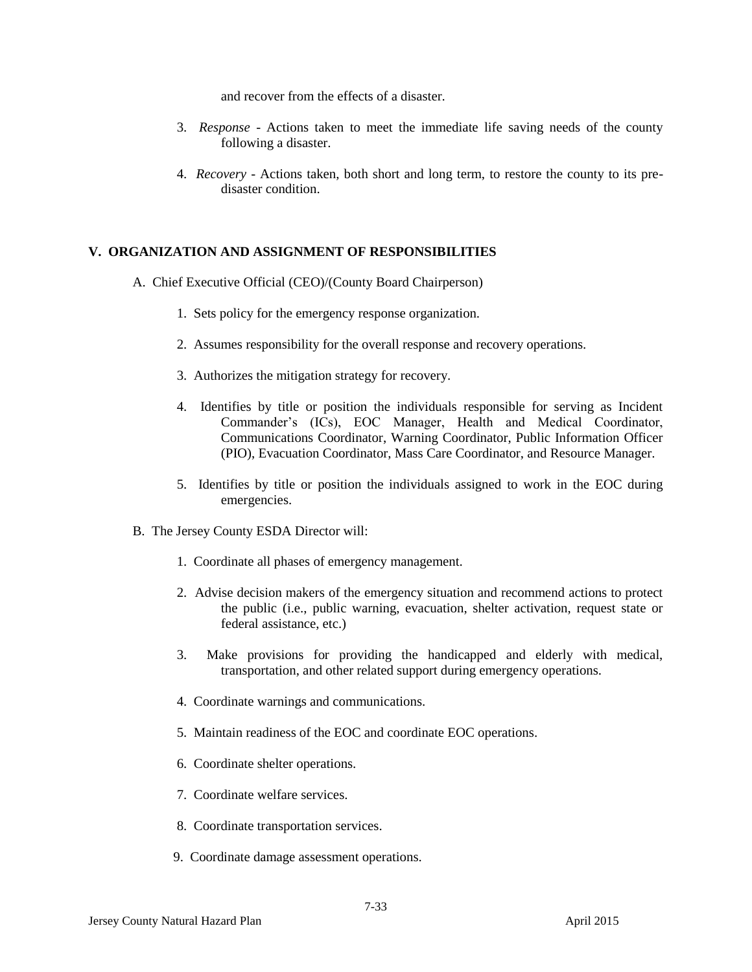and recover from the effects of a disaster.

- 3. *Response* Actions taken to meet the immediate life saving needs of the county following a disaster.
- 4. *Recovery* Actions taken, both short and long term, to restore the county to its predisaster condition.

#### **V. ORGANIZATION AND ASSIGNMENT OF RESPONSIBILITIES**

- A. Chief Executive Official (CEO)/(County Board Chairperson)
	- 1. Sets policy for the emergency response organization.
	- 2. Assumes responsibility for the overall response and recovery operations.
	- 3. Authorizes the mitigation strategy for recovery.
	- 4. Identifies by title or position the individuals responsible for serving as Incident Commander's (ICs), EOC Manager, Health and Medical Coordinator, Communications Coordinator, Warning Coordinator, Public Information Officer (PIO), Evacuation Coordinator, Mass Care Coordinator, and Resource Manager.
	- 5. Identifies by title or position the individuals assigned to work in the EOC during emergencies.
- B. The Jersey County ESDA Director will:
	- 1. Coordinate all phases of emergency management.
	- 2. Advise decision makers of the emergency situation and recommend actions to protect the public (i.e., public warning, evacuation, shelter activation, request state or federal assistance, etc.)
	- 3. Make provisions for providing the handicapped and elderly with medical, transportation, and other related support during emergency operations.
	- 4. Coordinate warnings and communications.
	- 5. Maintain readiness of the EOC and coordinate EOC operations.
	- 6. Coordinate shelter operations.
	- 7. Coordinate welfare services.
	- 8. Coordinate transportation services.
	- 9. Coordinate damage assessment operations.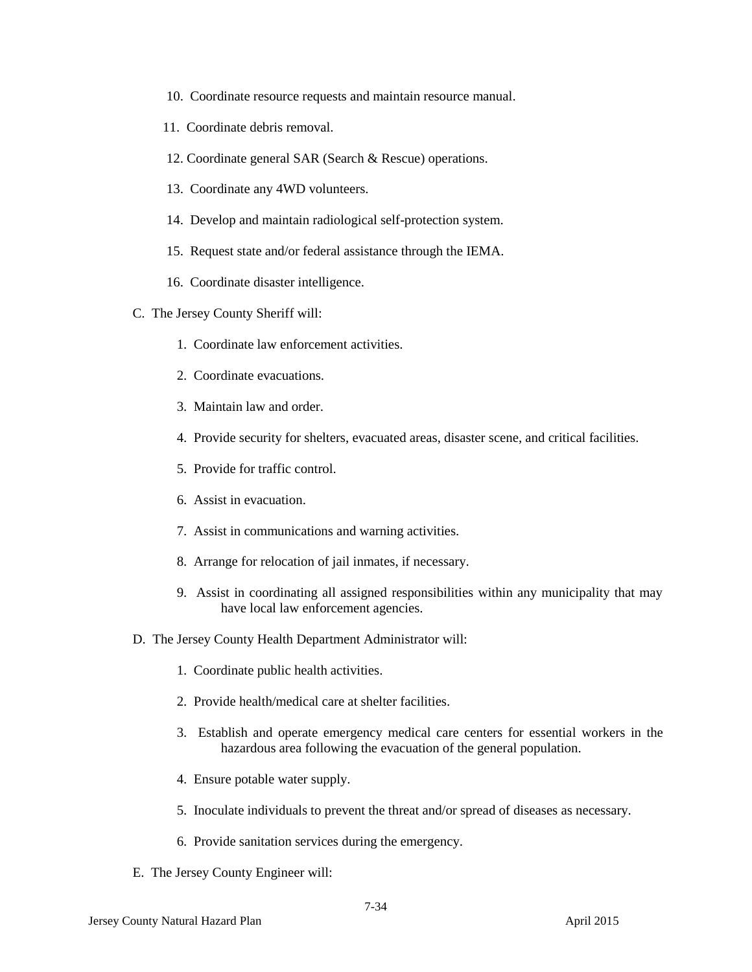- 10. Coordinate resource requests and maintain resource manual.
- 11. Coordinate debris removal.
- 12. Coordinate general SAR (Search & Rescue) operations.
- 13. Coordinate any 4WD volunteers.
- 14. Develop and maintain radiological self-protection system.
- 15. Request state and/or federal assistance through the IEMA.
- 16. Coordinate disaster intelligence.
- C. The Jersey County Sheriff will:
	- 1. Coordinate law enforcement activities.
	- 2. Coordinate evacuations.
	- 3. Maintain law and order.
	- 4. Provide security for shelters, evacuated areas, disaster scene, and critical facilities.
	- 5. Provide for traffic control.
	- 6. Assist in evacuation.
	- 7. Assist in communications and warning activities.
	- 8. Arrange for relocation of jail inmates, if necessary.
	- 9. Assist in coordinating all assigned responsibilities within any municipality that may have local law enforcement agencies.
- D. The Jersey County Health Department Administrator will:
	- 1. Coordinate public health activities.
	- 2. Provide health/medical care at shelter facilities.
	- 3. Establish and operate emergency medical care centers for essential workers in the hazardous area following the evacuation of the general population.
	- 4. Ensure potable water supply.
	- 5. Inoculate individuals to prevent the threat and/or spread of diseases as necessary.
	- 6. Provide sanitation services during the emergency.
- E. The Jersey County Engineer will: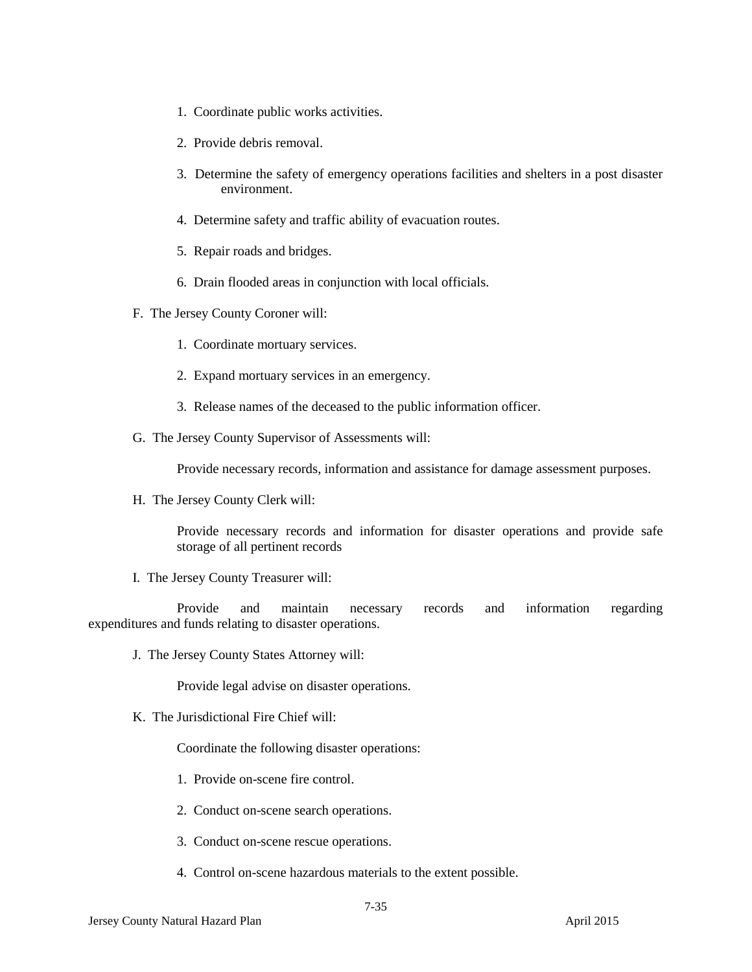- 1. Coordinate public works activities.
- 2. Provide debris removal.
- 3. Determine the safety of emergency operations facilities and shelters in a post disaster environment.
- 4. Determine safety and traffic ability of evacuation routes.
- 5. Repair roads and bridges.
- 6. Drain flooded areas in conjunction with local officials.
- F. The Jersey County Coroner will:
	- 1. Coordinate mortuary services.
	- 2. Expand mortuary services in an emergency.
	- 3. Release names of the deceased to the public information officer.
- G. The Jersey County Supervisor of Assessments will:

Provide necessary records, information and assistance for damage assessment purposes.

H. The Jersey County Clerk will:

Provide necessary records and information for disaster operations and provide safe storage of all pertinent records

I. The Jersey County Treasurer will:

Provide and maintain necessary records and information regarding expenditures and funds relating to disaster operations.

J. The Jersey County States Attorney will:

Provide legal advise on disaster operations.

K. The Jurisdictional Fire Chief will:

Coordinate the following disaster operations:

- 1. Provide on-scene fire control.
- 2. Conduct on-scene search operations.
- 3. Conduct on-scene rescue operations.
- 4. Control on-scene hazardous materials to the extent possible.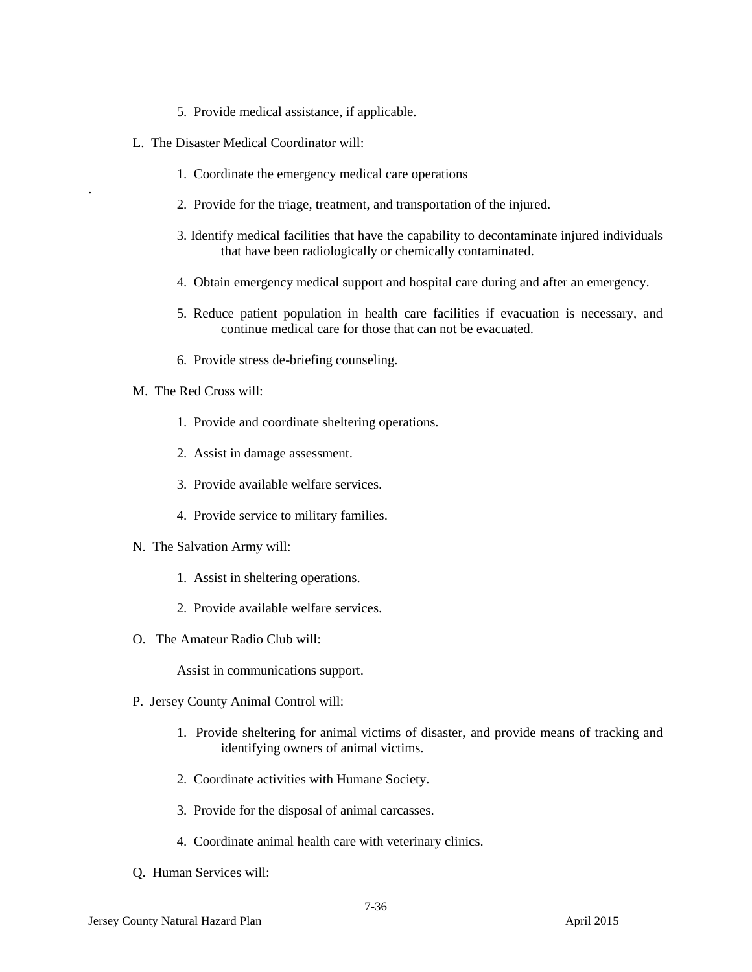- 5. Provide medical assistance, if applicable.
- L. The Disaster Medical Coordinator will:
	- 1. Coordinate the emergency medical care operations
	- 2. Provide for the triage, treatment, and transportation of the injured.
	- 3. Identify medical facilities that have the capability to decontaminate injured individuals that have been radiologically or chemically contaminated.
	- 4. Obtain emergency medical support and hospital care during and after an emergency.
	- 5. Reduce patient population in health care facilities if evacuation is necessary, and continue medical care for those that can not be evacuated.
	- 6. Provide stress de-briefing counseling.
- M. The Red Cross will:

.

- 1. Provide and coordinate sheltering operations.
- 2. Assist in damage assessment.
- 3. Provide available welfare services.
- 4. Provide service to military families.
- N. The Salvation Army will:
	- 1. Assist in sheltering operations.
	- 2. Provide available welfare services.
- O. The Amateur Radio Club will:

Assist in communications support.

- P. Jersey County Animal Control will:
	- 1. Provide sheltering for animal victims of disaster, and provide means of tracking and identifying owners of animal victims.
	- 2. Coordinate activities with Humane Society.
	- 3. Provide for the disposal of animal carcasses.
	- 4. Coordinate animal health care with veterinary clinics.
- Q. Human Services will: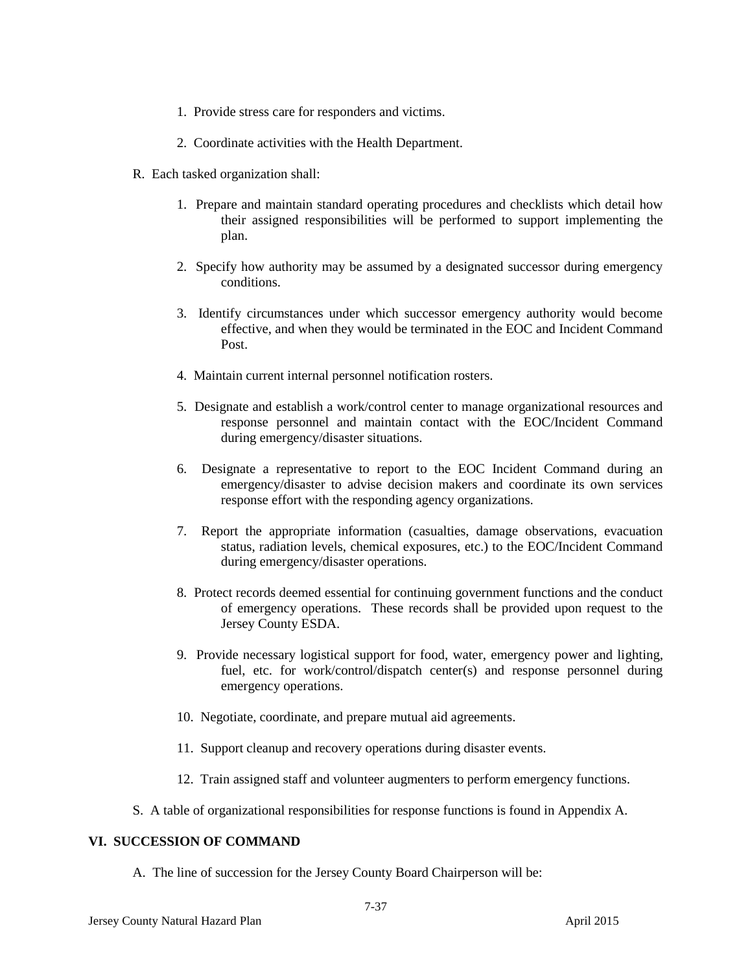- 1. Provide stress care for responders and victims.
- 2. Coordinate activities with the Health Department.
- R. Each tasked organization shall:
	- 1. Prepare and maintain standard operating procedures and checklists which detail how their assigned responsibilities will be performed to support implementing the plan.
	- 2. Specify how authority may be assumed by a designated successor during emergency conditions.
	- 3. Identify circumstances under which successor emergency authority would become effective, and when they would be terminated in the EOC and Incident Command Post<sub>.</sub>
	- 4. Maintain current internal personnel notification rosters.
	- 5. Designate and establish a work/control center to manage organizational resources and response personnel and maintain contact with the EOC/Incident Command during emergency/disaster situations.
	- 6. Designate a representative to report to the EOC Incident Command during an emergency/disaster to advise decision makers and coordinate its own services response effort with the responding agency organizations.
	- 7. Report the appropriate information (casualties, damage observations, evacuation status, radiation levels, chemical exposures, etc.) to the EOC/Incident Command during emergency/disaster operations.
	- 8. Protect records deemed essential for continuing government functions and the conduct of emergency operations. These records shall be provided upon request to the Jersey County ESDA.
	- 9. Provide necessary logistical support for food, water, emergency power and lighting, fuel, etc. for work/control/dispatch center(s) and response personnel during emergency operations.
	- 10. Negotiate, coordinate, and prepare mutual aid agreements.
	- 11. Support cleanup and recovery operations during disaster events.
	- 12. Train assigned staff and volunteer augmenters to perform emergency functions.
- S. A table of organizational responsibilities for response functions is found in Appendix A.

### **VI. SUCCESSION OF COMMAND**

A. The line of succession for the Jersey County Board Chairperson will be: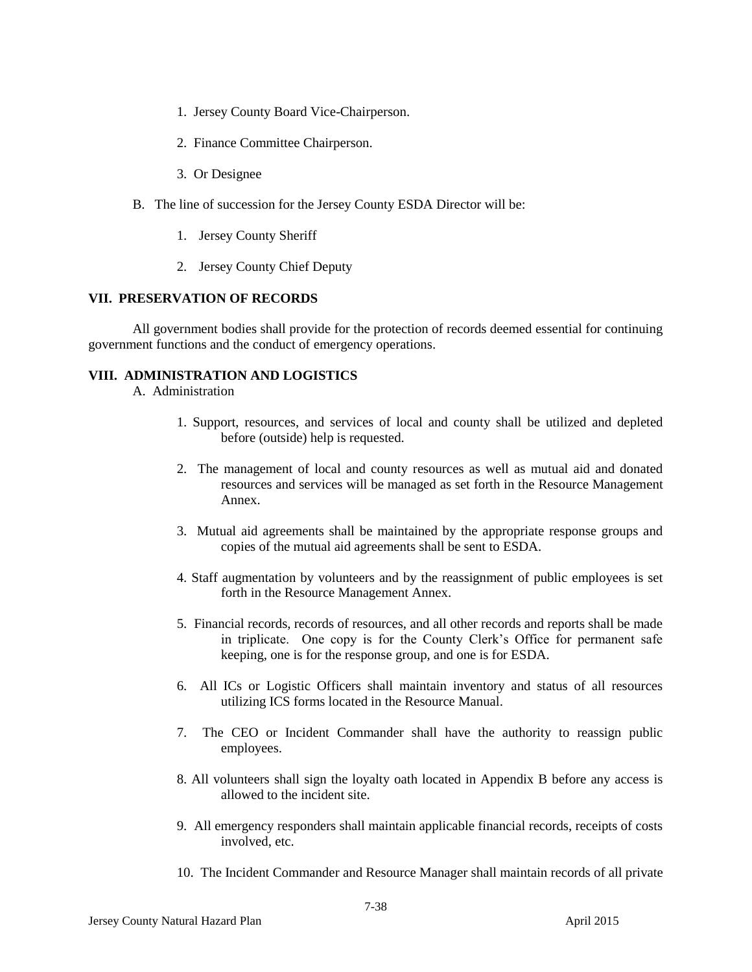- 1. Jersey County Board Vice-Chairperson.
- 2. Finance Committee Chairperson.
- 3. Or Designee
- B. The line of succession for the Jersey County ESDA Director will be:
	- 1. Jersey County Sheriff
	- 2. Jersey County Chief Deputy

#### **VII. PRESERVATION OF RECORDS**

All government bodies shall provide for the protection of records deemed essential for continuing government functions and the conduct of emergency operations.

#### **VIII. ADMINISTRATION AND LOGISTICS**

A. Administration

- 1. Support, resources, and services of local and county shall be utilized and depleted before (outside) help is requested.
- 2. The management of local and county resources as well as mutual aid and donated resources and services will be managed as set forth in the Resource Management Annex.
- 3. Mutual aid agreements shall be maintained by the appropriate response groups and copies of the mutual aid agreements shall be sent to ESDA.
- 4. Staff augmentation by volunteers and by the reassignment of public employees is set forth in the Resource Management Annex.
- 5. Financial records, records of resources, and all other records and reports shall be made in triplicate. One copy is for the County Clerk's Office for permanent safe keeping, one is for the response group, and one is for ESDA.
- 6. All ICs or Logistic Officers shall maintain inventory and status of all resources utilizing ICS forms located in the Resource Manual.
- 7. The CEO or Incident Commander shall have the authority to reassign public employees.
- 8. All volunteers shall sign the loyalty oath located in Appendix B before any access is allowed to the incident site.
- 9. All emergency responders shall maintain applicable financial records, receipts of costs involved, etc.
- 10. The Incident Commander and Resource Manager shall maintain records of all private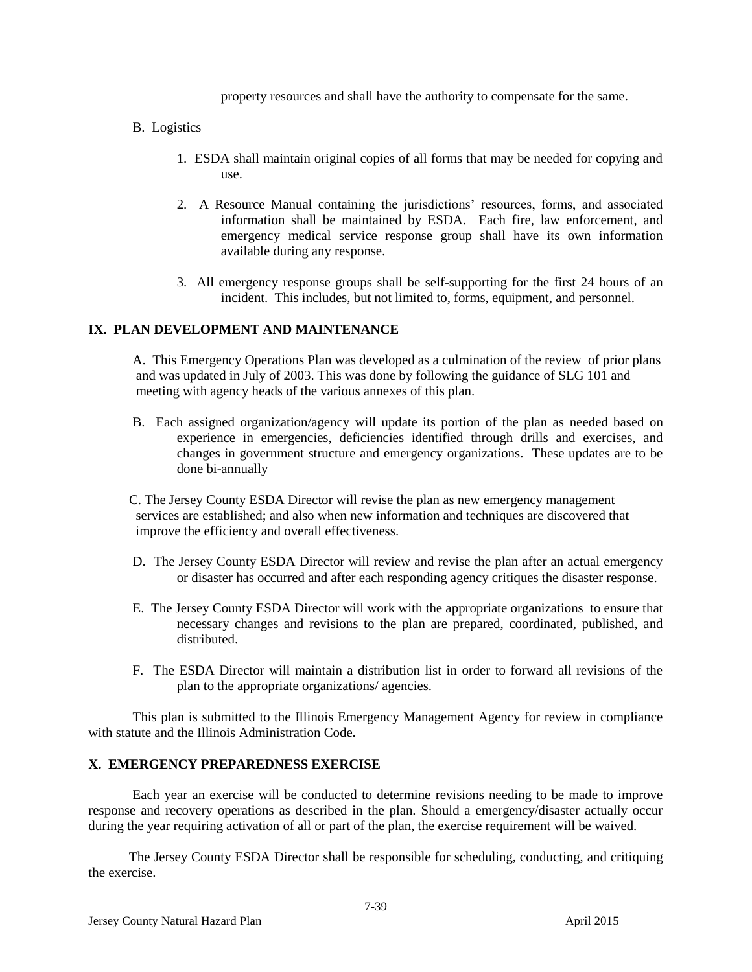property resources and shall have the authority to compensate for the same.

- B. Logistics
	- 1. ESDA shall maintain original copies of all forms that may be needed for copying and use.
	- 2. A Resource Manual containing the jurisdictions' resources, forms, and associated information shall be maintained by ESDA. Each fire, law enforcement, and emergency medical service response group shall have its own information available during any response.
	- 3. All emergency response groups shall be self-supporting for the first 24 hours of an incident. This includes, but not limited to, forms, equipment, and personnel.

#### **IX. PLAN DEVELOPMENT AND MAINTENANCE**

A. This Emergency Operations Plan was developed as a culmination of the review of prior plans and was updated in July of 2003. This was done by following the guidance of SLG 101 and meeting with agency heads of the various annexes of this plan.

B. Each assigned organization/agency will update its portion of the plan as needed based on experience in emergencies, deficiencies identified through drills and exercises, and changes in government structure and emergency organizations. These updates are to be done bi-annually

 C. The Jersey County ESDA Director will revise the plan as new emergency management services are established; and also when new information and techniques are discovered that improve the efficiency and overall effectiveness.

- D. The Jersey County ESDA Director will review and revise the plan after an actual emergency or disaster has occurred and after each responding agency critiques the disaster response.
- E. The Jersey County ESDA Director will work with the appropriate organizations to ensure that necessary changes and revisions to the plan are prepared, coordinated, published, and distributed.
- F. The ESDA Director will maintain a distribution list in order to forward all revisions of the plan to the appropriate organizations/ agencies.

This plan is submitted to the Illinois Emergency Management Agency for review in compliance with statute and the Illinois Administration Code.

#### **X. EMERGENCY PREPAREDNESS EXERCISE**

Each year an exercise will be conducted to determine revisions needing to be made to improve response and recovery operations as described in the plan. Should a emergency/disaster actually occur during the year requiring activation of all or part of the plan, the exercise requirement will be waived.

 The Jersey County ESDA Director shall be responsible for scheduling, conducting, and critiquing the exercise.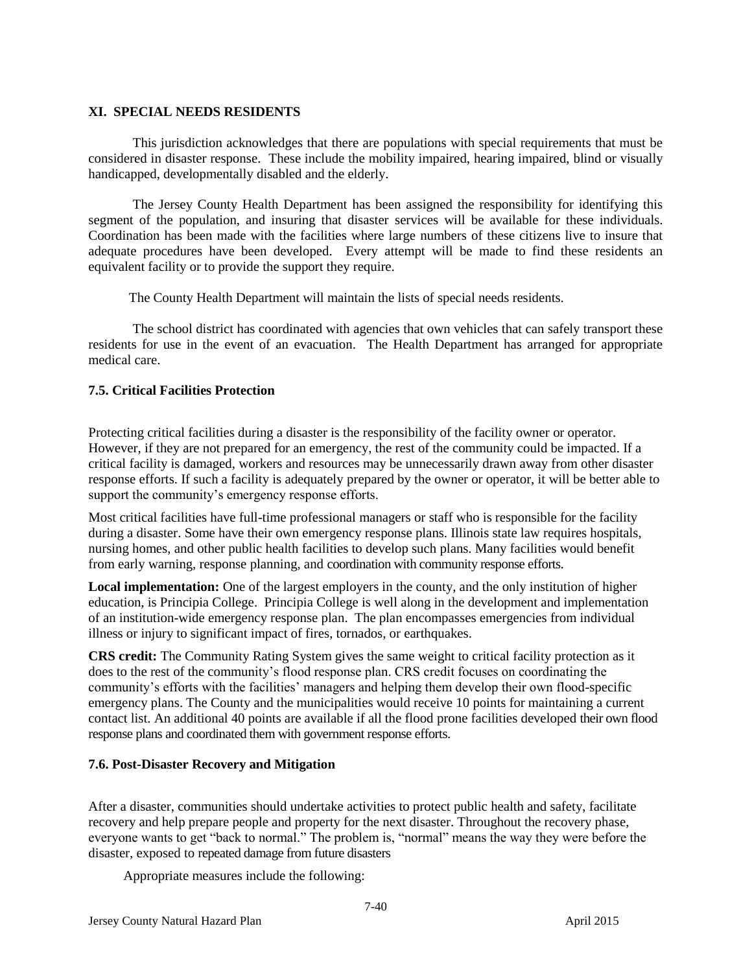## **XI. SPECIAL NEEDS RESIDENTS**

This jurisdiction acknowledges that there are populations with special requirements that must be considered in disaster response. These include the mobility impaired, hearing impaired, blind or visually handicapped, developmentally disabled and the elderly.

The Jersey County Health Department has been assigned the responsibility for identifying this segment of the population, and insuring that disaster services will be available for these individuals. Coordination has been made with the facilities where large numbers of these citizens live to insure that adequate procedures have been developed. Every attempt will be made to find these residents an equivalent facility or to provide the support they require.

The County Health Department will maintain the lists of special needs residents.

The school district has coordinated with agencies that own vehicles that can safely transport these residents for use in the event of an evacuation. The Health Department has arranged for appropriate medical care.

# **7.5. Critical Facilities Protection**

Protecting critical facilities during a disaster is the responsibility of the facility owner or operator. However, if they are not prepared for an emergency, the rest of the community could be impacted. If a critical facility is damaged, workers and resources may be unnecessarily drawn away from other disaster response efforts. If such a facility is adequately prepared by the owner or operator, it will be better able to support the community's emergency response efforts.

Most critical facilities have full-time professional managers or staff who is responsible for the facility during a disaster. Some have their own emergency response plans. Illinois state law requires hospitals, nursing homes, and other public health facilities to develop such plans. Many facilities would benefit from early warning, response planning, and coordination with community response efforts.

**Local implementation:** One of the largest employers in the county, and the only institution of higher education, is Principia College. Principia College is well along in the development and implementation of an institution-wide emergency response plan. The plan encompasses emergencies from individual illness or injury to significant impact of fires, tornados, or earthquakes.

**CRS credit:** The Community Rating System gives the same weight to critical facility protection as it does to the rest of the community's flood response plan. CRS credit focuses on coordinating the community's efforts with the facilities' managers and helping them develop their own flood-specific emergency plans. The County and the municipalities would receive 10 points for maintaining a current contact list. An additional 40 points are available if all the flood prone facilities developed their own flood response plans and coordinated them with government response efforts.

# **7.6. Post-Disaster Recovery and Mitigation**

After a disaster, communities should undertake activities to protect public health and safety, facilitate recovery and help prepare people and property for the next disaster. Throughout the recovery phase, everyone wants to get "back to normal." The problem is, "normal" means the way they were before the disaster, exposed to repeated damage from future disasters

Appropriate measures include the following: